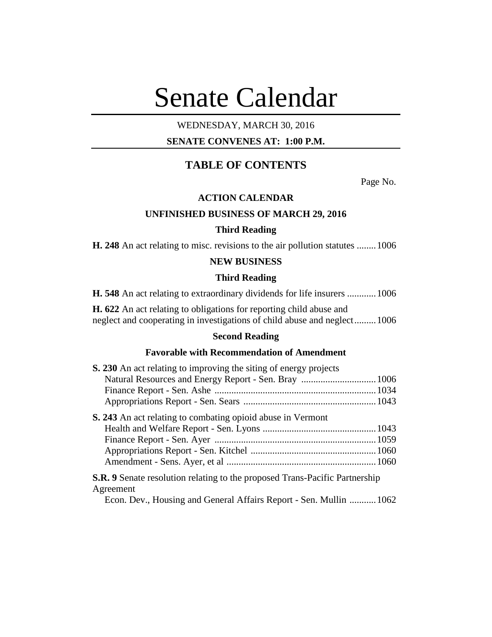# Senate Calendar

# WEDNESDAY, MARCH 30, 2016

# **SENATE CONVENES AT: 1:00 P.M.**

# **TABLE OF CONTENTS**

Page No.

## **ACTION CALENDAR**

## **UNFINISHED BUSINESS OF MARCH 29, 2016**

## **Third Reading**

**H. 248** An act relating to misc. revisions to the air pollution statutes ........1006

#### **NEW BUSINESS**

#### **Third Reading**

**H. 548** An act relating to extraordinary dividends for life insurers ............1006

**H. 622** An act relating to obligations for reporting child abuse and neglect and cooperating in investigations of child abuse and neglect.........1006

# **Second Reading**

## **Favorable with Recommendation of Amendment**

| S. 230 An act relating to improving the siting of energy projects                               |  |
|-------------------------------------------------------------------------------------------------|--|
|                                                                                                 |  |
|                                                                                                 |  |
|                                                                                                 |  |
| <b>S. 243</b> An act relating to combating opioid abuse in Vermont                              |  |
|                                                                                                 |  |
|                                                                                                 |  |
|                                                                                                 |  |
|                                                                                                 |  |
| <b>S.R.</b> 9 Senate resolution relating to the proposed Trans-Pacific Partnership<br>Agreement |  |
| Econ. Dev., Housing and General Affairs Report - Sen. Mullin  1062                              |  |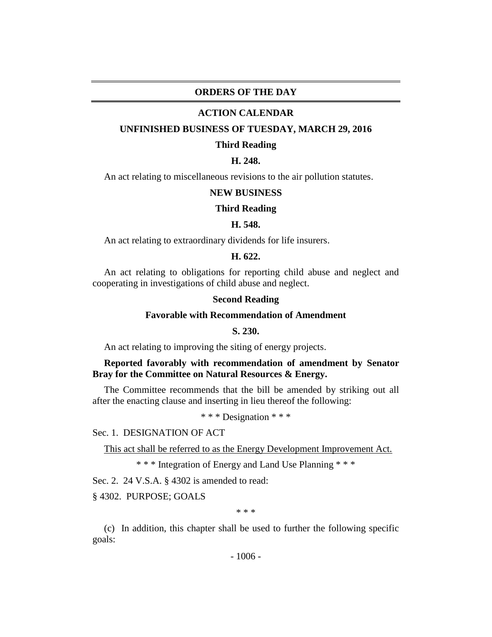## **ORDERS OF THE DAY**

#### **ACTION CALENDAR**

#### **UNFINISHED BUSINESS OF TUESDAY, MARCH 29, 2016**

#### **Third Reading**

# **H. 248.**

An act relating to miscellaneous revisions to the air pollution statutes.

#### **NEW BUSINESS**

#### **Third Reading**

#### **H. 548.**

An act relating to extraordinary dividends for life insurers.

### **H. 622.**

An act relating to obligations for reporting child abuse and neglect and cooperating in investigations of child abuse and neglect.

#### **Second Reading**

## **Favorable with Recommendation of Amendment**

## **S. 230.**

An act relating to improving the siting of energy projects.

## **Reported favorably with recommendation of amendment by Senator Bray for the Committee on Natural Resources & Energy.**

The Committee recommends that the bill be amended by striking out all after the enacting clause and inserting in lieu thereof the following:

\* \* \* Designation \* \* \*

#### Sec. 1. DESIGNATION OF ACT

This act shall be referred to as the Energy Development Improvement Act.

\* \* \* Integration of Energy and Land Use Planning \* \* \*

Sec. 2. 24 V.S.A. § 4302 is amended to read:

§ 4302. PURPOSE; GOALS

\* \* \*

(c) In addition, this chapter shall be used to further the following specific goals: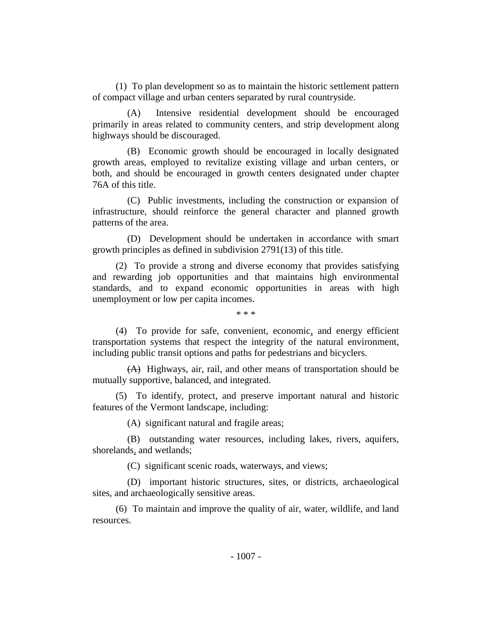(1) To plan development so as to maintain the historic settlement pattern of compact village and urban centers separated by rural countryside.

(A) Intensive residential development should be encouraged primarily in areas related to community centers, and strip development along highways should be discouraged.

(B) Economic growth should be encouraged in locally designated growth areas, employed to revitalize existing village and urban centers, or both, and should be encouraged in growth centers designated under chapter 76A of this title.

(C) Public investments, including the construction or expansion of infrastructure, should reinforce the general character and planned growth patterns of the area.

(D) Development should be undertaken in accordance with smart growth principles as defined in subdivision 2791(13) of this title.

(2) To provide a strong and diverse economy that provides satisfying and rewarding job opportunities and that maintains high environmental standards, and to expand economic opportunities in areas with high unemployment or low per capita incomes.

\* \* \*

(4) To provide for safe, convenient, economic, and energy efficient transportation systems that respect the integrity of the natural environment, including public transit options and paths for pedestrians and bicyclers.

(A) Highways, air, rail, and other means of transportation should be mutually supportive, balanced, and integrated.

(5) To identify, protect, and preserve important natural and historic features of the Vermont landscape, including:

(A) significant natural and fragile areas;

(B) outstanding water resources, including lakes, rivers, aquifers, shorelands, and wetlands;

(C) significant scenic roads, waterways, and views;

(D) important historic structures, sites, or districts, archaeological sites, and archaeologically sensitive areas.

(6) To maintain and improve the quality of air, water, wildlife, and land resources.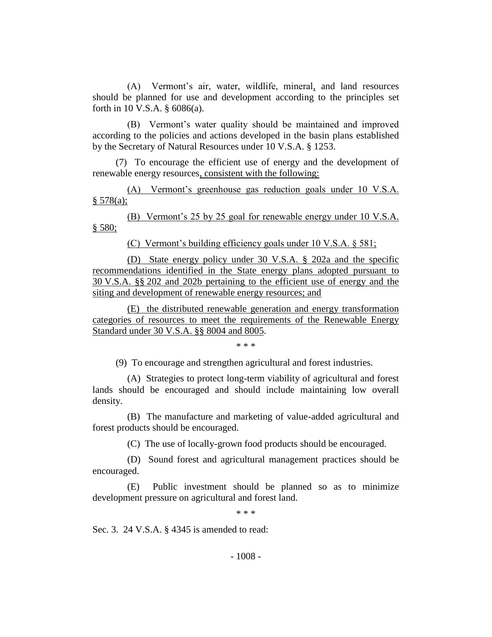(A) Vermont's air, water, wildlife, mineral, and land resources should be planned for use and development according to the principles set forth in 10 V.S.A. § 6086(a).

(B) Vermont's water quality should be maintained and improved according to the policies and actions developed in the basin plans established by the Secretary of Natural Resources under 10 V.S.A. § 1253.

(7) To encourage the efficient use of energy and the development of renewable energy resources, consistent with the following:

(A) Vermont's greenhouse gas reduction goals under 10 V.S.A.  $§ 578(a);$ 

(B) Vermont's 25 by 25 goal for renewable energy under 10 V.S.A. § 580;

(C) Vermont's building efficiency goals under 10 V.S.A. § 581;

(D) State energy policy under 30 V.S.A. § 202a and the specific recommendations identified in the State energy plans adopted pursuant to 30 V.S.A. §§ 202 and 202b pertaining to the efficient use of energy and the siting and development of renewable energy resources; and

(E) the distributed renewable generation and energy transformation categories of resources to meet the requirements of the Renewable Energy Standard under 30 V.S.A. §§ 8004 and 8005.

\* \* \*

(9) To encourage and strengthen agricultural and forest industries.

(A) Strategies to protect long-term viability of agricultural and forest lands should be encouraged and should include maintaining low overall density.

(B) The manufacture and marketing of value-added agricultural and forest products should be encouraged.

(C) The use of locally-grown food products should be encouraged.

(D) Sound forest and agricultural management practices should be encouraged.

(E) Public investment should be planned so as to minimize development pressure on agricultural and forest land.

\* \* \*

Sec. 3. 24 V.S.A. § 4345 is amended to read: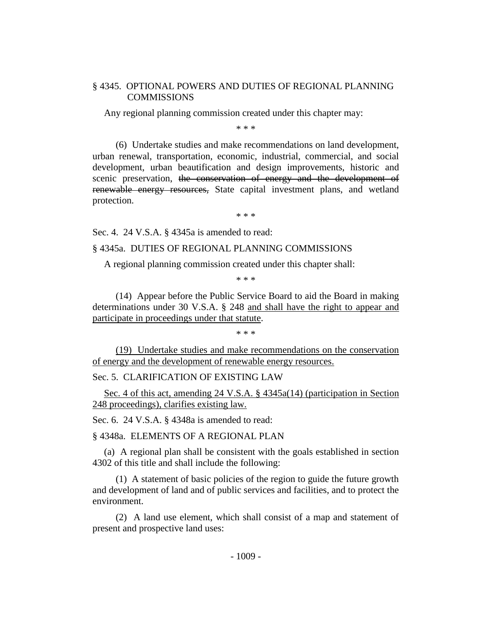## § 4345. OPTIONAL POWERS AND DUTIES OF REGIONAL PLANNING **COMMISSIONS**

Any regional planning commission created under this chapter may:

\* \* \*

(6) Undertake studies and make recommendations on land development, urban renewal, transportation, economic, industrial, commercial, and social development, urban beautification and design improvements, historic and scenic preservation, the conservation of energy and the development of renewable energy resources, State capital investment plans, and wetland protection.

\* \* \*

Sec. 4. 24 V.S.A. § 4345a is amended to read:

#### § 4345a. DUTIES OF REGIONAL PLANNING COMMISSIONS

A regional planning commission created under this chapter shall:

\* \* \*

(14) Appear before the Public Service Board to aid the Board in making determinations under 30 V.S.A. § 248 and shall have the right to appear and participate in proceedings under that statute.

\* \* \*

(19) Undertake studies and make recommendations on the conservation of energy and the development of renewable energy resources.

Sec. 5. CLARIFICATION OF EXISTING LAW

Sec. 4 of this act, amending 24 V.S.A. § 4345a(14) (participation in Section 248 proceedings), clarifies existing law.

Sec. 6. 24 V.S.A. § 4348a is amended to read:

§ 4348a. ELEMENTS OF A REGIONAL PLAN

(a) A regional plan shall be consistent with the goals established in section 4302 of this title and shall include the following:

(1) A statement of basic policies of the region to guide the future growth and development of land and of public services and facilities, and to protect the environment.

(2) A land use element, which shall consist of a map and statement of present and prospective land uses: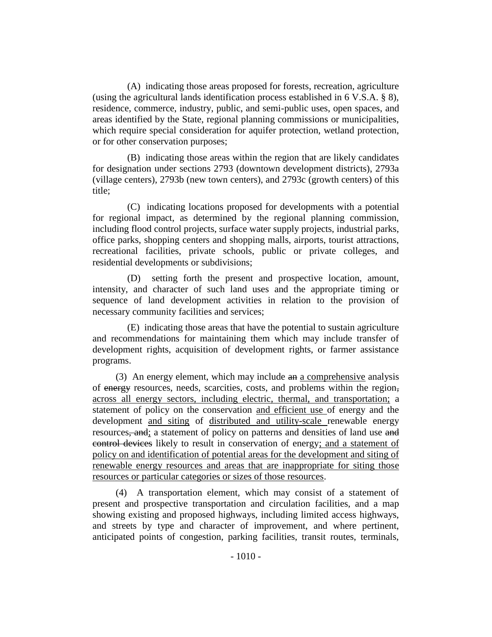(A) indicating those areas proposed for forests, recreation, agriculture (using the agricultural lands identification process established in 6 V.S.A. § 8), residence, commerce, industry, public, and semi-public uses, open spaces, and areas identified by the State, regional planning commissions or municipalities, which require special consideration for aquifer protection, wetland protection, or for other conservation purposes;

(B) indicating those areas within the region that are likely candidates for designation under sections 2793 (downtown development districts), 2793a (village centers), 2793b (new town centers), and 2793c (growth centers) of this title;

(C) indicating locations proposed for developments with a potential for regional impact, as determined by the regional planning commission, including flood control projects, surface water supply projects, industrial parks, office parks, shopping centers and shopping malls, airports, tourist attractions, recreational facilities, private schools, public or private colleges, and residential developments or subdivisions;

(D) setting forth the present and prospective location, amount, intensity, and character of such land uses and the appropriate timing or sequence of land development activities in relation to the provision of necessary community facilities and services;

(E) indicating those areas that have the potential to sustain agriculture and recommendations for maintaining them which may include transfer of development rights, acquisition of development rights, or farmer assistance programs.

(3) An energy element, which may include an a comprehensive analysis of energy resources, needs, scarcities, costs, and problems within the region, across all energy sectors, including electric, thermal, and transportation; a statement of policy on the conservation and efficient use of energy and the development and siting of distributed and utility-scale renewable energy resources, and; a statement of policy on patterns and densities of land use and control devices likely to result in conservation of energy; and a statement of policy on and identification of potential areas for the development and siting of renewable energy resources and areas that are inappropriate for siting those resources or particular categories or sizes of those resources.

(4) A transportation element, which may consist of a statement of present and prospective transportation and circulation facilities, and a map showing existing and proposed highways, including limited access highways, and streets by type and character of improvement, and where pertinent, anticipated points of congestion, parking facilities, transit routes, terminals,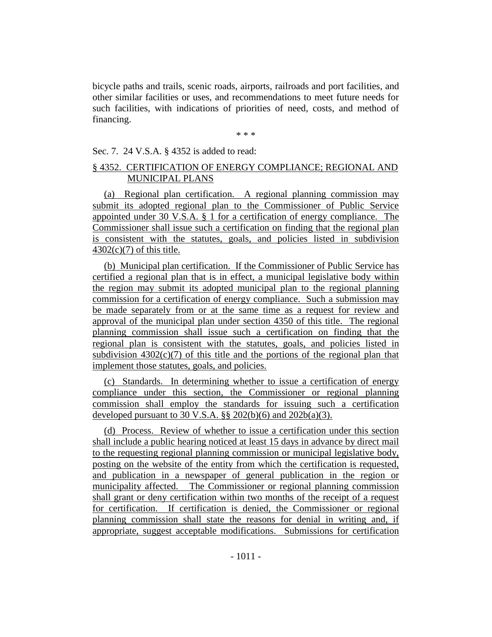bicycle paths and trails, scenic roads, airports, railroads and port facilities, and other similar facilities or uses, and recommendations to meet future needs for such facilities, with indications of priorities of need, costs, and method of financing.

\* \* \*

#### Sec. 7. 24 V.S.A. § 4352 is added to read:

# § 4352. CERTIFICATION OF ENERGY COMPLIANCE; REGIONAL AND MUNICIPAL PLANS

(a) Regional plan certification. A regional planning commission may submit its adopted regional plan to the Commissioner of Public Service appointed under 30 V.S.A. § 1 for a certification of energy compliance. The Commissioner shall issue such a certification on finding that the regional plan is consistent with the statutes, goals, and policies listed in subdivision  $4302(c)(7)$  of this title.

(b) Municipal plan certification. If the Commissioner of Public Service has certified a regional plan that is in effect, a municipal legislative body within the region may submit its adopted municipal plan to the regional planning commission for a certification of energy compliance. Such a submission may be made separately from or at the same time as a request for review and approval of the municipal plan under section 4350 of this title. The regional planning commission shall issue such a certification on finding that the regional plan is consistent with the statutes, goals, and policies listed in subdivision  $4302(c)(7)$  of this title and the portions of the regional plan that implement those statutes, goals, and policies.

(c) Standards. In determining whether to issue a certification of energy compliance under this section, the Commissioner or regional planning commission shall employ the standards for issuing such a certification developed pursuant to 30 V.S.A.  $\S$ § 202(b)(6) and 202b(a)(3).

(d) Process. Review of whether to issue a certification under this section shall include a public hearing noticed at least 15 days in advance by direct mail to the requesting regional planning commission or municipal legislative body, posting on the website of the entity from which the certification is requested, and publication in a newspaper of general publication in the region or municipality affected. The Commissioner or regional planning commission shall grant or deny certification within two months of the receipt of a request for certification. If certification is denied, the Commissioner or regional planning commission shall state the reasons for denial in writing and, if appropriate, suggest acceptable modifications. Submissions for certification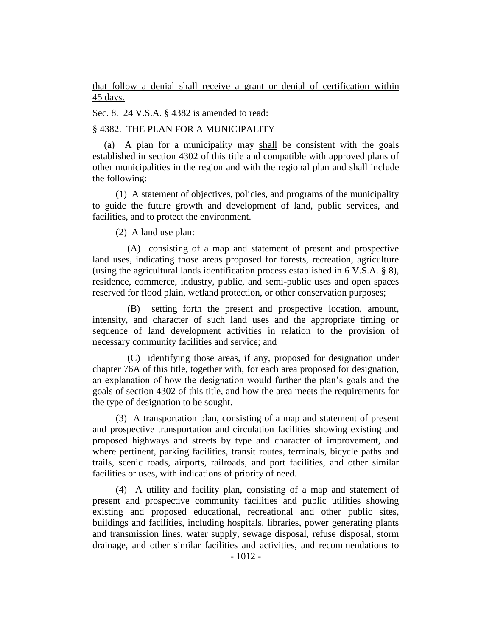that follow a denial shall receive a grant or denial of certification within 45 days.

Sec. 8. 24 V.S.A. § 4382 is amended to read:

#### § 4382. THE PLAN FOR A MUNICIPALITY

(a) A plan for a municipality may shall be consistent with the goals established in section 4302 of this title and compatible with approved plans of other municipalities in the region and with the regional plan and shall include the following:

(1) A statement of objectives, policies, and programs of the municipality to guide the future growth and development of land, public services, and facilities, and to protect the environment.

(2) A land use plan:

(A) consisting of a map and statement of present and prospective land uses, indicating those areas proposed for forests, recreation, agriculture (using the agricultural lands identification process established in 6 V.S.A. § 8), residence, commerce, industry, public, and semi-public uses and open spaces reserved for flood plain, wetland protection, or other conservation purposes;

(B) setting forth the present and prospective location, amount, intensity, and character of such land uses and the appropriate timing or sequence of land development activities in relation to the provision of necessary community facilities and service; and

(C) identifying those areas, if any, proposed for designation under chapter 76A of this title, together with, for each area proposed for designation, an explanation of how the designation would further the plan's goals and the goals of section 4302 of this title, and how the area meets the requirements for the type of designation to be sought.

(3) A transportation plan, consisting of a map and statement of present and prospective transportation and circulation facilities showing existing and proposed highways and streets by type and character of improvement, and where pertinent, parking facilities, transit routes, terminals, bicycle paths and trails, scenic roads, airports, railroads, and port facilities, and other similar facilities or uses, with indications of priority of need.

(4) A utility and facility plan, consisting of a map and statement of present and prospective community facilities and public utilities showing existing and proposed educational, recreational and other public sites, buildings and facilities, including hospitals, libraries, power generating plants and transmission lines, water supply, sewage disposal, refuse disposal, storm drainage, and other similar facilities and activities, and recommendations to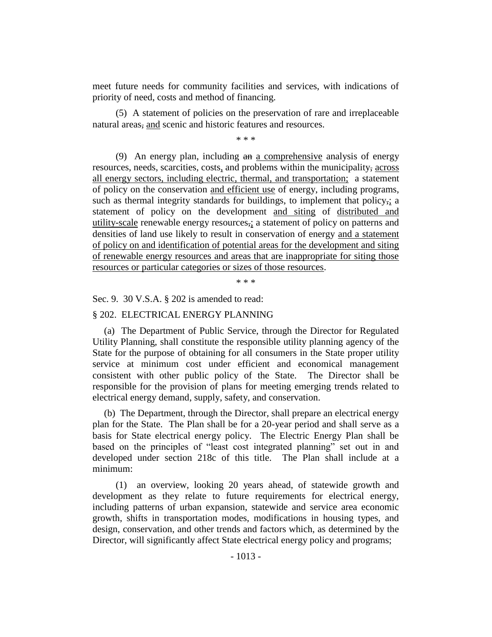meet future needs for community facilities and services, with indications of priority of need, costs and method of financing.

(5) A statement of policies on the preservation of rare and irreplaceable natural areas, and scenic and historic features and resources.

\* \* \*

(9) An energy plan, including an a comprehensive analysis of energy resources, needs, scarcities, costs, and problems within the municipality, across all energy sectors, including electric, thermal, and transportation; a statement of policy on the conservation and efficient use of energy, including programs, such as thermal integrity standards for buildings, to implement that policy,; a statement of policy on the development and siting of distributed and utility-scale renewable energy resources,; a statement of policy on patterns and densities of land use likely to result in conservation of energy and a statement of policy on and identification of potential areas for the development and siting of renewable energy resources and areas that are inappropriate for siting those resources or particular categories or sizes of those resources.

\* \* \*

Sec. 9. 30 V.S.A. § 202 is amended to read:

#### § 202. ELECTRICAL ENERGY PLANNING

(a) The Department of Public Service, through the Director for Regulated Utility Planning, shall constitute the responsible utility planning agency of the State for the purpose of obtaining for all consumers in the State proper utility service at minimum cost under efficient and economical management consistent with other public policy of the State. The Director shall be responsible for the provision of plans for meeting emerging trends related to electrical energy demand, supply, safety, and conservation.

(b) The Department, through the Director, shall prepare an electrical energy plan for the State. The Plan shall be for a 20-year period and shall serve as a basis for State electrical energy policy. The Electric Energy Plan shall be based on the principles of "least cost integrated planning" set out in and developed under section 218c of this title. The Plan shall include at a minimum:

(1) an overview, looking 20 years ahead, of statewide growth and development as they relate to future requirements for electrical energy, including patterns of urban expansion, statewide and service area economic growth, shifts in transportation modes, modifications in housing types, and design, conservation, and other trends and factors which, as determined by the Director, will significantly affect State electrical energy policy and programs;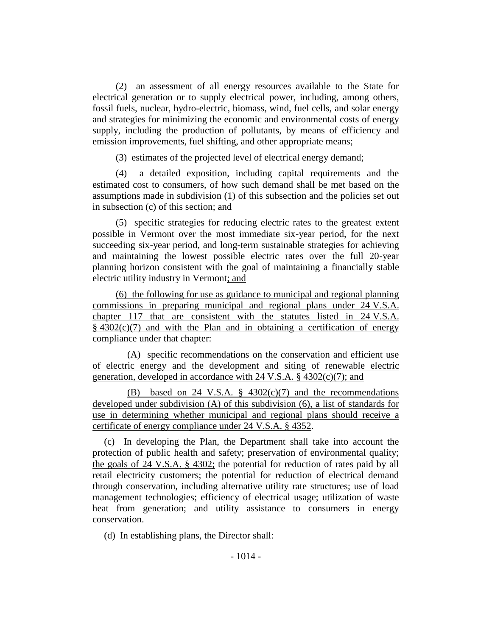(2) an assessment of all energy resources available to the State for electrical generation or to supply electrical power, including, among others, fossil fuels, nuclear, hydro-electric, biomass, wind, fuel cells, and solar energy and strategies for minimizing the economic and environmental costs of energy supply, including the production of pollutants, by means of efficiency and emission improvements, fuel shifting, and other appropriate means;

(3) estimates of the projected level of electrical energy demand;

(4) a detailed exposition, including capital requirements and the estimated cost to consumers, of how such demand shall be met based on the assumptions made in subdivision (1) of this subsection and the policies set out in subsection (c) of this section; and

(5) specific strategies for reducing electric rates to the greatest extent possible in Vermont over the most immediate six-year period, for the next succeeding six-year period, and long-term sustainable strategies for achieving and maintaining the lowest possible electric rates over the full 20-year planning horizon consistent with the goal of maintaining a financially stable electric utility industry in Vermont; and

(6) the following for use as guidance to municipal and regional planning commissions in preparing municipal and regional plans under 24 V.S.A. chapter 117 that are consistent with the statutes listed in 24 V.S.A.  $§$  4302(c)(7) and with the Plan and in obtaining a certification of energy compliance under that chapter:

(A) specific recommendations on the conservation and efficient use of electric energy and the development and siting of renewable electric generation, developed in accordance with 24 V.S.A. § 4302(c)(7); and

(B) based on 24 V.S.A. § 4302(c)(7) and the recommendations developed under subdivision (A) of this subdivision (6), a list of standards for use in determining whether municipal and regional plans should receive a certificate of energy compliance under 24 V.S.A. § 4352.

(c) In developing the Plan, the Department shall take into account the protection of public health and safety; preservation of environmental quality; the goals of 24 V.S.A. § 4302; the potential for reduction of rates paid by all retail electricity customers; the potential for reduction of electrical demand through conservation, including alternative utility rate structures; use of load management technologies; efficiency of electrical usage; utilization of waste heat from generation; and utility assistance to consumers in energy conservation.

(d) In establishing plans, the Director shall: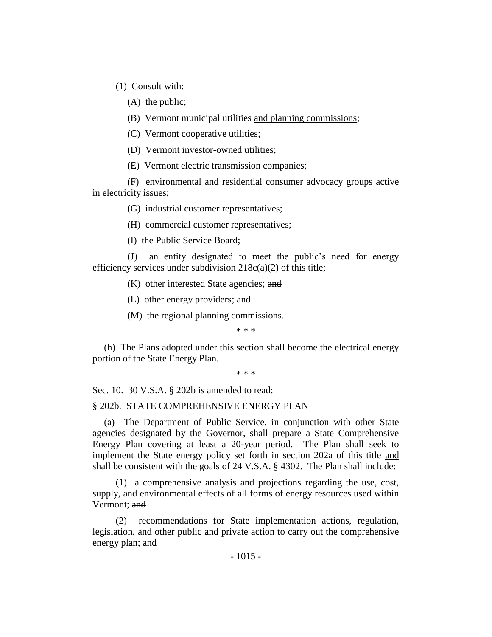(1) Consult with:

(A) the public;

(B) Vermont municipal utilities and planning commissions;

(C) Vermont cooperative utilities;

(D) Vermont investor-owned utilities;

(E) Vermont electric transmission companies;

(F) environmental and residential consumer advocacy groups active in electricity issues;

(G) industrial customer representatives;

(H) commercial customer representatives;

(I) the Public Service Board;

(J) an entity designated to meet the public's need for energy efficiency services under subdivision  $218c(a)(2)$  of this title;

(K) other interested State agencies; and

(L) other energy providers; and

(M) the regional planning commissions.

\* \* \*

(h) The Plans adopted under this section shall become the electrical energy portion of the State Energy Plan.

\* \* \*

Sec. 10. 30 V.S.A. § 202b is amended to read:

§ 202b. STATE COMPREHENSIVE ENERGY PLAN

(a) The Department of Public Service, in conjunction with other State agencies designated by the Governor, shall prepare a State Comprehensive Energy Plan covering at least a 20-year period. The Plan shall seek to implement the State energy policy set forth in section 202a of this title and shall be consistent with the goals of 24 V.S.A. § 4302. The Plan shall include:

(1) a comprehensive analysis and projections regarding the use, cost, supply, and environmental effects of all forms of energy resources used within Vermont; and

(2) recommendations for State implementation actions, regulation, legislation, and other public and private action to carry out the comprehensive energy plan; and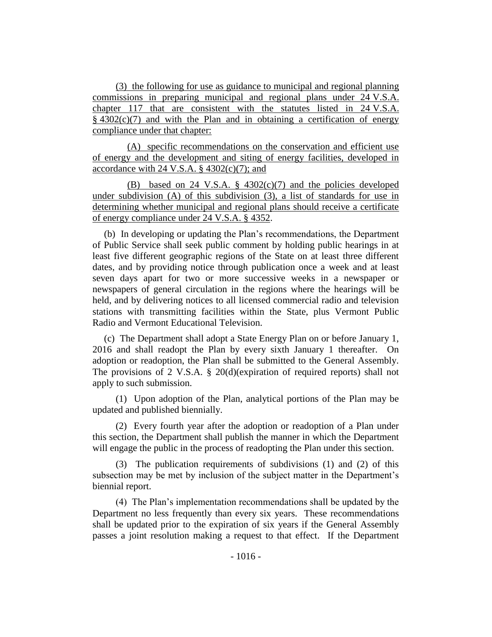(3) the following for use as guidance to municipal and regional planning commissions in preparing municipal and regional plans under 24 V.S.A. chapter 117 that are consistent with the statutes listed in 24 V.S.A.  $§$  4302(c)(7) and with the Plan and in obtaining a certification of energy compliance under that chapter:

(A) specific recommendations on the conservation and efficient use of energy and the development and siting of energy facilities, developed in accordance with 24 V.S.A.  $\S$  4302(c)(7); and

(B) based on 24 V.S.A.  $\S$  4302(c)(7) and the policies developed under subdivision (A) of this subdivision (3), a list of standards for use in determining whether municipal and regional plans should receive a certificate of energy compliance under 24 V.S.A. § 4352.

(b) In developing or updating the Plan's recommendations, the Department of Public Service shall seek public comment by holding public hearings in at least five different geographic regions of the State on at least three different dates, and by providing notice through publication once a week and at least seven days apart for two or more successive weeks in a newspaper or newspapers of general circulation in the regions where the hearings will be held, and by delivering notices to all licensed commercial radio and television stations with transmitting facilities within the State, plus Vermont Public Radio and Vermont Educational Television.

(c) The Department shall adopt a State Energy Plan on or before January 1, 2016 and shall readopt the Plan by every sixth January 1 thereafter. On adoption or readoption, the Plan shall be submitted to the General Assembly. The provisions of 2 V.S.A. § 20(d)(expiration of required reports) shall not apply to such submission.

(1) Upon adoption of the Plan, analytical portions of the Plan may be updated and published biennially.

(2) Every fourth year after the adoption or readoption of a Plan under this section, the Department shall publish the manner in which the Department will engage the public in the process of readopting the Plan under this section.

(3) The publication requirements of subdivisions (1) and (2) of this subsection may be met by inclusion of the subject matter in the Department's biennial report.

(4) The Plan's implementation recommendations shall be updated by the Department no less frequently than every six years. These recommendations shall be updated prior to the expiration of six years if the General Assembly passes a joint resolution making a request to that effect. If the Department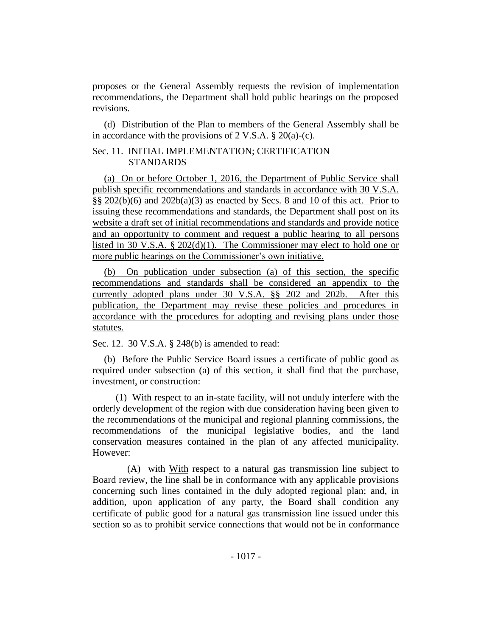proposes or the General Assembly requests the revision of implementation recommendations, the Department shall hold public hearings on the proposed revisions.

(d) Distribution of the Plan to members of the General Assembly shall be in accordance with the provisions of 2 V.S.A.  $\S 20(a)-(c)$ .

## Sec. 11. INITIAL IMPLEMENTATION; CERTIFICATION **STANDARDS**

(a) On or before October 1, 2016, the Department of Public Service shall publish specific recommendations and standards in accordance with 30 V.S.A.  $\S$ § 202(b)(6) and 202b(a)(3) as enacted by Secs. 8 and 10 of this act. Prior to issuing these recommendations and standards, the Department shall post on its website a draft set of initial recommendations and standards and provide notice and an opportunity to comment and request a public hearing to all persons listed in 30 V.S.A. § 202(d)(1). The Commissioner may elect to hold one or more public hearings on the Commissioner's own initiative.

(b) On publication under subsection (a) of this section, the specific recommendations and standards shall be considered an appendix to the currently adopted plans under 30 V.S.A. §§ 202 and 202b. After this publication, the Department may revise these policies and procedures in accordance with the procedures for adopting and revising plans under those statutes.

Sec. 12. 30 V.S.A. § 248(b) is amended to read:

(b) Before the Public Service Board issues a certificate of public good as required under subsection (a) of this section, it shall find that the purchase, investment, or construction:

(1) With respect to an in-state facility, will not unduly interfere with the orderly development of the region with due consideration having been given to the recommendations of the municipal and regional planning commissions, the recommendations of the municipal legislative bodies, and the land conservation measures contained in the plan of any affected municipality. However:

(A) with With respect to a natural gas transmission line subject to Board review, the line shall be in conformance with any applicable provisions concerning such lines contained in the duly adopted regional plan; and, in addition, upon application of any party, the Board shall condition any certificate of public good for a natural gas transmission line issued under this section so as to prohibit service connections that would not be in conformance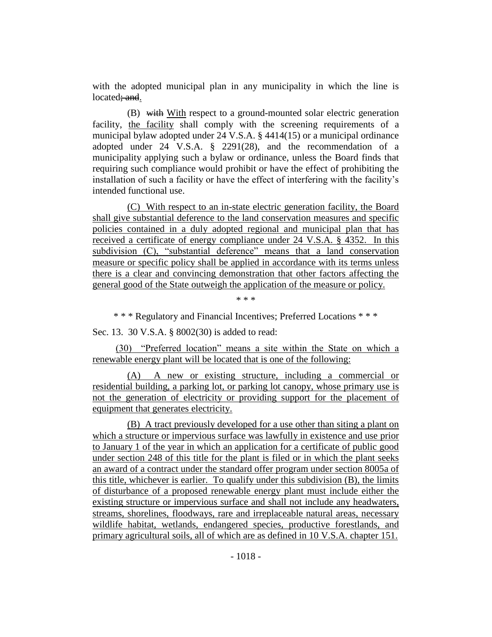with the adopted municipal plan in any municipality in which the line is located; and.

(B) with With respect to a ground-mounted solar electric generation facility, the facility shall comply with the screening requirements of a municipal bylaw adopted under 24 V.S.A. § 4414(15) or a municipal ordinance adopted under 24 V.S.A. § 2291(28), and the recommendation of a municipality applying such a bylaw or ordinance, unless the Board finds that requiring such compliance would prohibit or have the effect of prohibiting the installation of such a facility or have the effect of interfering with the facility's intended functional use.

(C) With respect to an in-state electric generation facility, the Board shall give substantial deference to the land conservation measures and specific policies contained in a duly adopted regional and municipal plan that has received a certificate of energy compliance under 24 V.S.A. § 4352. In this subdivision (C), "substantial deference" means that a land conservation measure or specific policy shall be applied in accordance with its terms unless there is a clear and convincing demonstration that other factors affecting the general good of the State outweigh the application of the measure or policy.

\* \* \*

\* \* \* Regulatory and Financial Incentives; Preferred Locations \* \* \*

Sec. 13. 30 V.S.A. § 8002(30) is added to read:

(30) "Preferred location" means a site within the State on which a renewable energy plant will be located that is one of the following:

(A) A new or existing structure, including a commercial or residential building, a parking lot, or parking lot canopy, whose primary use is not the generation of electricity or providing support for the placement of equipment that generates electricity.

(B) A tract previously developed for a use other than siting a plant on which a structure or impervious surface was lawfully in existence and use prior to January 1 of the year in which an application for a certificate of public good under section 248 of this title for the plant is filed or in which the plant seeks an award of a contract under the standard offer program under section 8005a of this title, whichever is earlier. To qualify under this subdivision (B), the limits of disturbance of a proposed renewable energy plant must include either the existing structure or impervious surface and shall not include any headwaters, streams, shorelines, floodways, rare and irreplaceable natural areas, necessary wildlife habitat, wetlands, endangered species, productive forestlands, and primary agricultural soils, all of which are as defined in 10 V.S.A. chapter 151.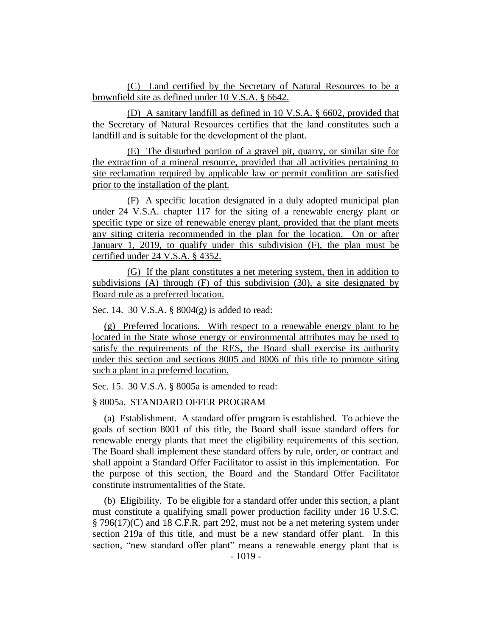(C) Land certified by the Secretary of Natural Resources to be a brownfield site as defined under 10 V.S.A. § 6642.

(D) A sanitary landfill as defined in 10 V.S.A. § 6602, provided that the Secretary of Natural Resources certifies that the land constitutes such a landfill and is suitable for the development of the plant.

(E) The disturbed portion of a gravel pit, quarry, or similar site for the extraction of a mineral resource, provided that all activities pertaining to site reclamation required by applicable law or permit condition are satisfied prior to the installation of the plant.

(F) A specific location designated in a duly adopted municipal plan under 24 V.S.A. chapter 117 for the siting of a renewable energy plant or specific type or size of renewable energy plant, provided that the plant meets any siting criteria recommended in the plan for the location. On or after January 1, 2019, to qualify under this subdivision (F), the plan must be certified under 24 V.S.A. § 4352.

(G) If the plant constitutes a net metering system, then in addition to subdivisions (A) through (F) of this subdivision (30), a site designated by Board rule as a preferred location.

Sec. 14. 30 V.S.A. § 8004(g) is added to read:

(g) Preferred locations. With respect to a renewable energy plant to be located in the State whose energy or environmental attributes may be used to satisfy the requirements of the RES, the Board shall exercise its authority under this section and sections 8005 and 8006 of this title to promote siting such a plant in a preferred location.

Sec. 15. 30 V.S.A. § 8005a is amended to read:

## § 8005a. STANDARD OFFER PROGRAM

(a) Establishment. A standard offer program is established. To achieve the goals of section 8001 of this title, the Board shall issue standard offers for renewable energy plants that meet the eligibility requirements of this section. The Board shall implement these standard offers by rule, order, or contract and shall appoint a Standard Offer Facilitator to assist in this implementation. For the purpose of this section, the Board and the Standard Offer Facilitator constitute instrumentalities of the State.

(b) Eligibility. To be eligible for a standard offer under this section, a plant must constitute a qualifying small power production facility under 16 U.S.C. § 796(17)(C) and 18 C.F.R. part 292, must not be a net metering system under section 219a of this title, and must be a new standard offer plant. In this section, "new standard offer plant" means a renewable energy plant that is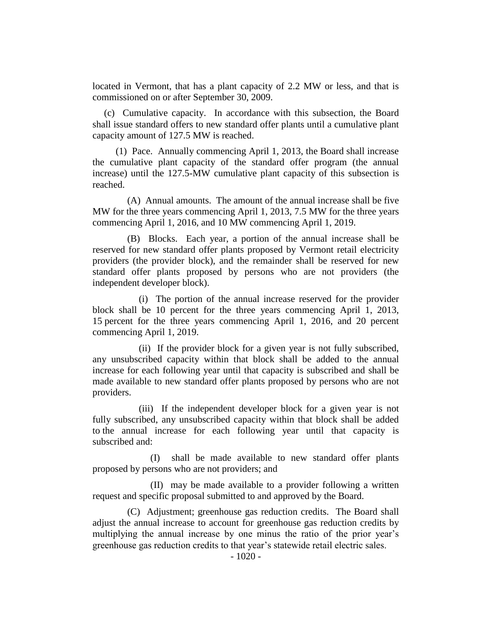located in Vermont, that has a plant capacity of 2.2 MW or less, and that is commissioned on or after September 30, 2009.

(c) Cumulative capacity. In accordance with this subsection, the Board shall issue standard offers to new standard offer plants until a cumulative plant capacity amount of 127.5 MW is reached.

(1) Pace. Annually commencing April 1, 2013, the Board shall increase the cumulative plant capacity of the standard offer program (the annual increase) until the 127.5-MW cumulative plant capacity of this subsection is reached.

(A) Annual amounts. The amount of the annual increase shall be five MW for the three years commencing April 1, 2013, 7.5 MW for the three years commencing April 1, 2016, and 10 MW commencing April 1, 2019.

(B) Blocks. Each year, a portion of the annual increase shall be reserved for new standard offer plants proposed by Vermont retail electricity providers (the provider block), and the remainder shall be reserved for new standard offer plants proposed by persons who are not providers (the independent developer block).

(i) The portion of the annual increase reserved for the provider block shall be 10 percent for the three years commencing April 1, 2013, 15 percent for the three years commencing April 1, 2016, and 20 percent commencing April 1, 2019.

(ii) If the provider block for a given year is not fully subscribed, any unsubscribed capacity within that block shall be added to the annual increase for each following year until that capacity is subscribed and shall be made available to new standard offer plants proposed by persons who are not providers.

(iii) If the independent developer block for a given year is not fully subscribed, any unsubscribed capacity within that block shall be added to the annual increase for each following year until that capacity is subscribed and:

(I) shall be made available to new standard offer plants proposed by persons who are not providers; and

(II) may be made available to a provider following a written request and specific proposal submitted to and approved by the Board.

(C) Adjustment; greenhouse gas reduction credits. The Board shall adjust the annual increase to account for greenhouse gas reduction credits by multiplying the annual increase by one minus the ratio of the prior year's greenhouse gas reduction credits to that year's statewide retail electric sales.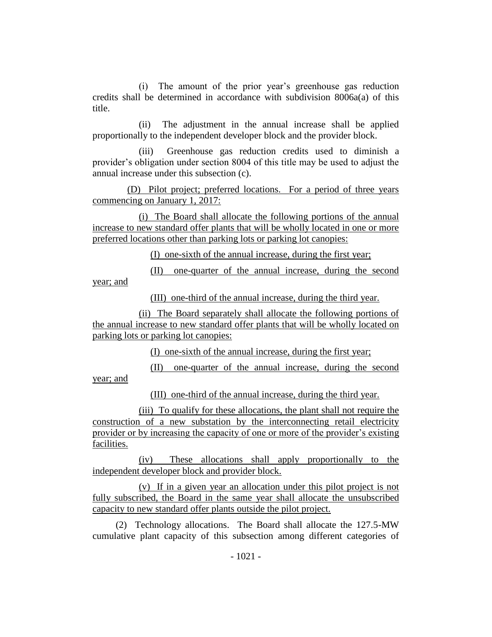(i) The amount of the prior year's greenhouse gas reduction credits shall be determined in accordance with subdivision 8006a(a) of this title.

(ii) The adjustment in the annual increase shall be applied proportionally to the independent developer block and the provider block.

(iii) Greenhouse gas reduction credits used to diminish a provider's obligation under section 8004 of this title may be used to adjust the annual increase under this subsection (c).

(D) Pilot project; preferred locations. For a period of three years commencing on January 1, 2017:

(i) The Board shall allocate the following portions of the annual increase to new standard offer plants that will be wholly located in one or more preferred locations other than parking lots or parking lot canopies:

(I) one-sixth of the annual increase, during the first year;

(II) one-quarter of the annual increase, during the second year; and

(III) one-third of the annual increase, during the third year.

(ii) The Board separately shall allocate the following portions of the annual increase to new standard offer plants that will be wholly located on parking lots or parking lot canopies:

(I) one-sixth of the annual increase, during the first year;

(II) one-quarter of the annual increase, during the second year; and

(III) one-third of the annual increase, during the third year.

(iii) To qualify for these allocations, the plant shall not require the construction of a new substation by the interconnecting retail electricity provider or by increasing the capacity of one or more of the provider's existing facilities.

(iv) These allocations shall apply proportionally to the independent developer block and provider block.

(v) If in a given year an allocation under this pilot project is not fully subscribed, the Board in the same year shall allocate the unsubscribed capacity to new standard offer plants outside the pilot project.

(2) Technology allocations. The Board shall allocate the 127.5-MW cumulative plant capacity of this subsection among different categories of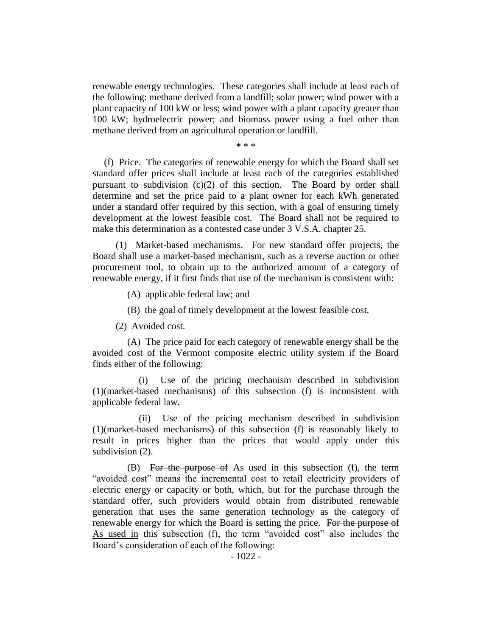renewable energy technologies. These categories shall include at least each of the following: methane derived from a landfill; solar power; wind power with a plant capacity of 100 kW or less; wind power with a plant capacity greater than 100 kW; hydroelectric power; and biomass power using a fuel other than methane derived from an agricultural operation or landfill.

\* \* \*

(f) Price. The categories of renewable energy for which the Board shall set standard offer prices shall include at least each of the categories established pursuant to subdivision (c)(2) of this section. The Board by order shall determine and set the price paid to a plant owner for each kWh generated under a standard offer required by this section, with a goal of ensuring timely development at the lowest feasible cost. The Board shall not be required to make this determination as a contested case under 3 V.S.A. chapter 25.

(1) Market-based mechanisms. For new standard offer projects, the Board shall use a market-based mechanism, such as a reverse auction or other procurement tool, to obtain up to the authorized amount of a category of renewable energy, if it first finds that use of the mechanism is consistent with:

(A) applicable federal law; and

(B) the goal of timely development at the lowest feasible cost.

(2) Avoided cost.

(A) The price paid for each category of renewable energy shall be the avoided cost of the Vermont composite electric utility system if the Board finds either of the following:

Use of the pricing mechanism described in subdivision (1)(market-based mechanisms) of this subsection (f) is inconsistent with applicable federal law.

(ii) Use of the pricing mechanism described in subdivision (1)(market-based mechanisms) of this subsection (f) is reasonably likely to result in prices higher than the prices that would apply under this subdivision  $(2)$ .

(B) For the purpose of As used in this subsection (f), the term "avoided cost" means the incremental cost to retail electricity providers of electric energy or capacity or both, which, but for the purchase through the standard offer, such providers would obtain from distributed renewable generation that uses the same generation technology as the category of renewable energy for which the Board is setting the price. For the purpose of As used in this subsection (f), the term "avoided cost" also includes the Board's consideration of each of the following: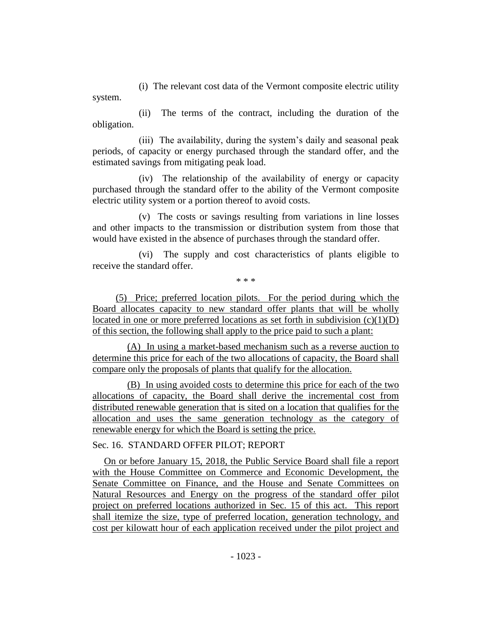(i) The relevant cost data of the Vermont composite electric utility system.

(ii) The terms of the contract, including the duration of the obligation.

(iii) The availability, during the system's daily and seasonal peak periods, of capacity or energy purchased through the standard offer, and the estimated savings from mitigating peak load.

(iv) The relationship of the availability of energy or capacity purchased through the standard offer to the ability of the Vermont composite electric utility system or a portion thereof to avoid costs.

(v) The costs or savings resulting from variations in line losses and other impacts to the transmission or distribution system from those that would have existed in the absence of purchases through the standard offer.

(vi) The supply and cost characteristics of plants eligible to receive the standard offer.

\* \* \*

(5) Price; preferred location pilots. For the period during which the Board allocates capacity to new standard offer plants that will be wholly located in one or more preferred locations as set forth in subdivision  $(c)(1)(D)$ of this section, the following shall apply to the price paid to such a plant:

(A) In using a market-based mechanism such as a reverse auction to determine this price for each of the two allocations of capacity, the Board shall compare only the proposals of plants that qualify for the allocation.

(B) In using avoided costs to determine this price for each of the two allocations of capacity, the Board shall derive the incremental cost from distributed renewable generation that is sited on a location that qualifies for the allocation and uses the same generation technology as the category of renewable energy for which the Board is setting the price.

# Sec. 16. STANDARD OFFER PILOT; REPORT

On or before January 15, 2018, the Public Service Board shall file a report with the House Committee on Commerce and Economic Development, the Senate Committee on Finance, and the House and Senate Committees on Natural Resources and Energy on the progress of the standard offer pilot project on preferred locations authorized in Sec. 15 of this act. This report shall itemize the size, type of preferred location, generation technology, and cost per kilowatt hour of each application received under the pilot project and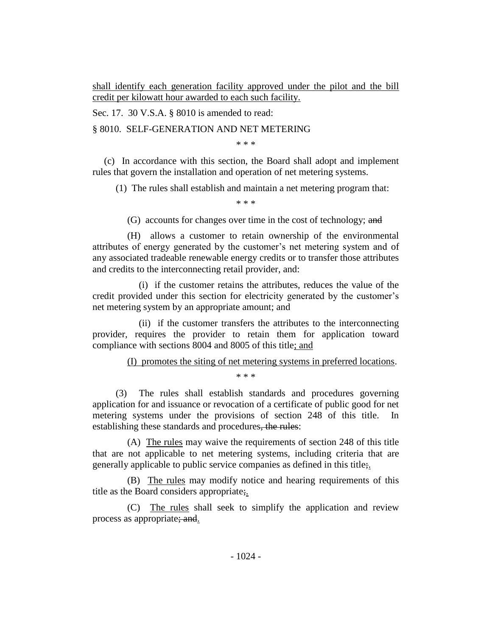shall identify each generation facility approved under the pilot and the bill credit per kilowatt hour awarded to each such facility.

Sec. 17. 30 V.S.A. § 8010 is amended to read:

§ 8010. SELF-GENERATION AND NET METERING

\* \* \*

(c) In accordance with this section, the Board shall adopt and implement rules that govern the installation and operation of net metering systems.

(1) The rules shall establish and maintain a net metering program that:

\* \* \*

(G) accounts for changes over time in the cost of technology; and

(H) allows a customer to retain ownership of the environmental attributes of energy generated by the customer's net metering system and of any associated tradeable renewable energy credits or to transfer those attributes and credits to the interconnecting retail provider, and:

(i) if the customer retains the attributes, reduces the value of the credit provided under this section for electricity generated by the customer's net metering system by an appropriate amount; and

(ii) if the customer transfers the attributes to the interconnecting provider, requires the provider to retain them for application toward compliance with sections 8004 and 8005 of this title; and

## (I) promotes the siting of net metering systems in preferred locations.

\* \* \*

(3) The rules shall establish standards and procedures governing application for and issuance or revocation of a certificate of public good for net metering systems under the provisions of section 248 of this title. In establishing these standards and procedures, the rules:

(A) The rules may waive the requirements of section 248 of this title that are not applicable to net metering systems, including criteria that are generally applicable to public service companies as defined in this title;.

(B) The rules may modify notice and hearing requirements of this title as the Board considers appropriate;.

(C) The rules shall seek to simplify the application and review process as appropriate; and.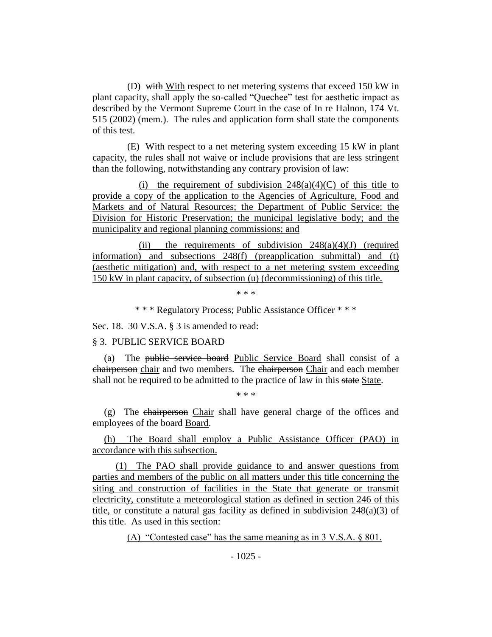(D) with With respect to net metering systems that exceed 150 kW in plant capacity, shall apply the so-called "Quechee" test for aesthetic impact as described by the Vermont Supreme Court in the case of In re Halnon, 174 Vt. 515 (2002) (mem.). The rules and application form shall state the components of this test.

(E) With respect to a net metering system exceeding 15 kW in plant capacity, the rules shall not waive or include provisions that are less stringent than the following, notwithstanding any contrary provision of law:

(i) the requirement of subdivision  $248(a)(4)(C)$  of this title to provide a copy of the application to the Agencies of Agriculture, Food and Markets and of Natural Resources; the Department of Public Service; the Division for Historic Preservation; the municipal legislative body; and the municipality and regional planning commissions; and

(ii) the requirements of subdivision  $248(a)(4)(J)$  (required information) and subsections 248(f) (preapplication submittal) and (t) (aesthetic mitigation) and, with respect to a net metering system exceeding 150 kW in plant capacity, of subsection (u) (decommissioning) of this title.

\* \* \*

\* \* \* Regulatory Process; Public Assistance Officer \* \* \*

Sec. 18. 30 V.S.A. § 3 is amended to read:

#### § 3. PUBLIC SERVICE BOARD

(a) The public service board Public Service Board shall consist of a chairperson chair and two members. The chairperson Chair and each member shall not be required to be admitted to the practice of law in this state State.

\* \* \*

(g) The chairperson Chair shall have general charge of the offices and employees of the board Board.

(h) The Board shall employ a Public Assistance Officer (PAO) in accordance with this subsection.

(1) The PAO shall provide guidance to and answer questions from parties and members of the public on all matters under this title concerning the siting and construction of facilities in the State that generate or transmit electricity, constitute a meteorological station as defined in section 246 of this title, or constitute a natural gas facility as defined in subdivision 248(a)(3) of this title. As used in this section:

(A) "Contested case" has the same meaning as in 3 V.S.A. § 801.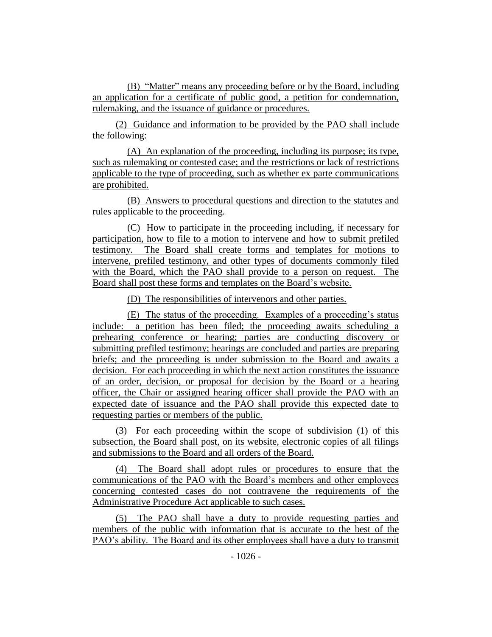(B) "Matter" means any proceeding before or by the Board, including an application for a certificate of public good, a petition for condemnation, rulemaking, and the issuance of guidance or procedures.

(2) Guidance and information to be provided by the PAO shall include the following:

(A) An explanation of the proceeding, including its purpose; its type, such as rulemaking or contested case; and the restrictions or lack of restrictions applicable to the type of proceeding, such as whether ex parte communications are prohibited.

(B) Answers to procedural questions and direction to the statutes and rules applicable to the proceeding.

(C) How to participate in the proceeding including, if necessary for participation, how to file to a motion to intervene and how to submit prefiled testimony. The Board shall create forms and templates for motions to intervene, prefiled testimony, and other types of documents commonly filed with the Board, which the PAO shall provide to a person on request. The Board shall post these forms and templates on the Board's website.

(D) The responsibilities of intervenors and other parties.

(E) The status of the proceeding. Examples of a proceeding's status include: a petition has been filed; the proceeding awaits scheduling a prehearing conference or hearing; parties are conducting discovery or submitting prefiled testimony; hearings are concluded and parties are preparing briefs; and the proceeding is under submission to the Board and awaits a decision. For each proceeding in which the next action constitutes the issuance of an order, decision, or proposal for decision by the Board or a hearing officer, the Chair or assigned hearing officer shall provide the PAO with an expected date of issuance and the PAO shall provide this expected date to requesting parties or members of the public.

(3) For each proceeding within the scope of subdivision (1) of this subsection, the Board shall post, on its website, electronic copies of all filings and submissions to the Board and all orders of the Board.

(4) The Board shall adopt rules or procedures to ensure that the communications of the PAO with the Board's members and other employees concerning contested cases do not contravene the requirements of the Administrative Procedure Act applicable to such cases.

(5) The PAO shall have a duty to provide requesting parties and members of the public with information that is accurate to the best of the PAO's ability. The Board and its other employees shall have a duty to transmit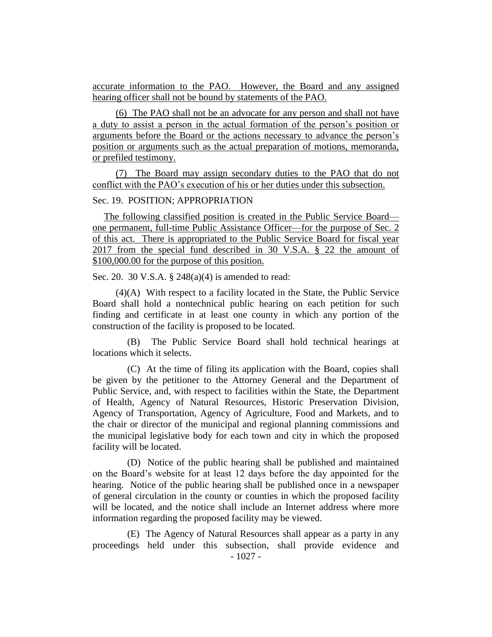accurate information to the PAO. However, the Board and any assigned hearing officer shall not be bound by statements of the PAO.

(6) The PAO shall not be an advocate for any person and shall not have a duty to assist a person in the actual formation of the person's position or arguments before the Board or the actions necessary to advance the person's position or arguments such as the actual preparation of motions, memoranda, or prefiled testimony.

(7) The Board may assign secondary duties to the PAO that do not conflict with the PAO's execution of his or her duties under this subsection.

## Sec. 19. POSITION; APPROPRIATION

The following classified position is created in the Public Service Board one permanent, full-time Public Assistance Officer—for the purpose of Sec. 2 of this act. There is appropriated to the Public Service Board for fiscal year 2017 from the special fund described in 30 V.S.A. § 22 the amount of \$100,000.00 for the purpose of this position.

Sec. 20. 30 V.S.A. § 248(a)(4) is amended to read:

(4)(A) With respect to a facility located in the State, the Public Service Board shall hold a nontechnical public hearing on each petition for such finding and certificate in at least one county in which any portion of the construction of the facility is proposed to be located.

(B) The Public Service Board shall hold technical hearings at locations which it selects.

(C) At the time of filing its application with the Board, copies shall be given by the petitioner to the Attorney General and the Department of Public Service, and, with respect to facilities within the State, the Department of Health, Agency of Natural Resources, Historic Preservation Division, Agency of Transportation, Agency of Agriculture, Food and Markets, and to the chair or director of the municipal and regional planning commissions and the municipal legislative body for each town and city in which the proposed facility will be located.

(D) Notice of the public hearing shall be published and maintained on the Board's website for at least 12 days before the day appointed for the hearing. Notice of the public hearing shall be published once in a newspaper of general circulation in the county or counties in which the proposed facility will be located, and the notice shall include an Internet address where more information regarding the proposed facility may be viewed.

(E) The Agency of Natural Resources shall appear as a party in any proceedings held under this subsection, shall provide evidence and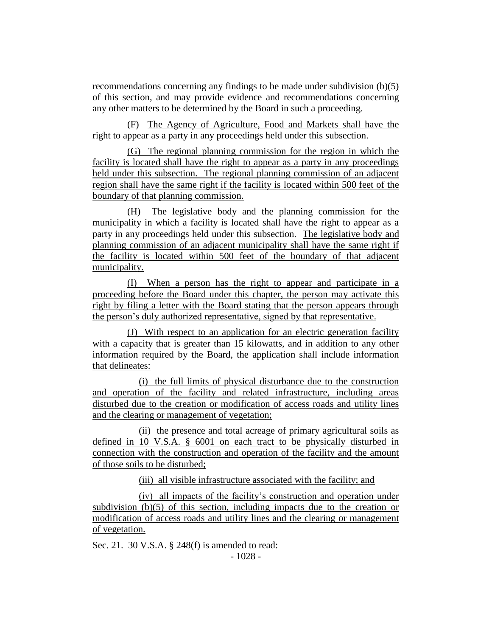recommendations concerning any findings to be made under subdivision (b)(5) of this section, and may provide evidence and recommendations concerning any other matters to be determined by the Board in such a proceeding.

(F) The Agency of Agriculture, Food and Markets shall have the right to appear as a party in any proceedings held under this subsection.

(G) The regional planning commission for the region in which the facility is located shall have the right to appear as a party in any proceedings held under this subsection. The regional planning commission of an adjacent region shall have the same right if the facility is located within 500 feet of the boundary of that planning commission.

(H) The legislative body and the planning commission for the municipality in which a facility is located shall have the right to appear as a party in any proceedings held under this subsection. The legislative body and planning commission of an adjacent municipality shall have the same right if the facility is located within 500 feet of the boundary of that adjacent municipality.

(I) When a person has the right to appear and participate in a proceeding before the Board under this chapter, the person may activate this right by filing a letter with the Board stating that the person appears through the person's duly authorized representative, signed by that representative.

(J) With respect to an application for an electric generation facility with a capacity that is greater than 15 kilowatts, and in addition to any other information required by the Board, the application shall include information that delineates:

(i) the full limits of physical disturbance due to the construction and operation of the facility and related infrastructure, including areas disturbed due to the creation or modification of access roads and utility lines and the clearing or management of vegetation;

(ii) the presence and total acreage of primary agricultural soils as defined in 10 V.S.A. § 6001 on each tract to be physically disturbed in connection with the construction and operation of the facility and the amount of those soils to be disturbed;

(iii) all visible infrastructure associated with the facility; and

(iv) all impacts of the facility's construction and operation under subdivision (b)(5) of this section, including impacts due to the creation or modification of access roads and utility lines and the clearing or management of vegetation.

Sec. 21. 30 V.S.A. § 248(f) is amended to read: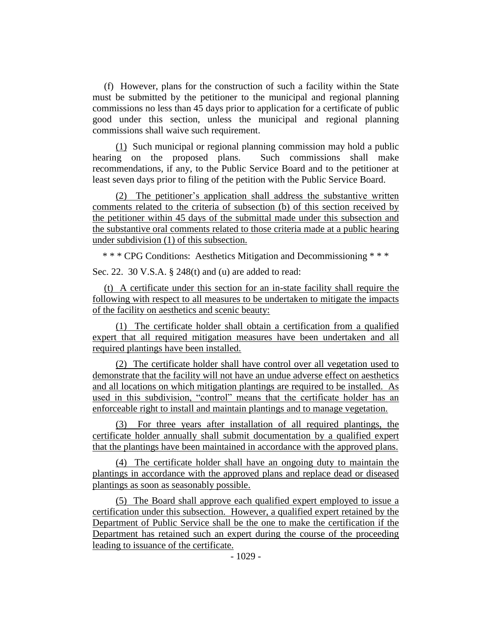(f) However, plans for the construction of such a facility within the State must be submitted by the petitioner to the municipal and regional planning commissions no less than 45 days prior to application for a certificate of public good under this section, unless the municipal and regional planning commissions shall waive such requirement.

(1) Such municipal or regional planning commission may hold a public hearing on the proposed plans. Such commissions shall make recommendations, if any, to the Public Service Board and to the petitioner at least seven days prior to filing of the petition with the Public Service Board.

(2) The petitioner's application shall address the substantive written comments related to the criteria of subsection (b) of this section received by the petitioner within 45 days of the submittal made under this subsection and the substantive oral comments related to those criteria made at a public hearing under subdivision (1) of this subsection.

\* \* \* CPG Conditions: Aesthetics Mitigation and Decommissioning \* \* \*

Sec. 22. 30 V.S.A. § 248(t) and (u) are added to read:

(t) A certificate under this section for an in-state facility shall require the following with respect to all measures to be undertaken to mitigate the impacts of the facility on aesthetics and scenic beauty:

(1) The certificate holder shall obtain a certification from a qualified expert that all required mitigation measures have been undertaken and all required plantings have been installed.

(2) The certificate holder shall have control over all vegetation used to demonstrate that the facility will not have an undue adverse effect on aesthetics and all locations on which mitigation plantings are required to be installed. As used in this subdivision, "control" means that the certificate holder has an enforceable right to install and maintain plantings and to manage vegetation.

(3) For three years after installation of all required plantings, the certificate holder annually shall submit documentation by a qualified expert that the plantings have been maintained in accordance with the approved plans.

(4) The certificate holder shall have an ongoing duty to maintain the plantings in accordance with the approved plans and replace dead or diseased plantings as soon as seasonably possible.

(5) The Board shall approve each qualified expert employed to issue a certification under this subsection. However, a qualified expert retained by the Department of Public Service shall be the one to make the certification if the Department has retained such an expert during the course of the proceeding leading to issuance of the certificate.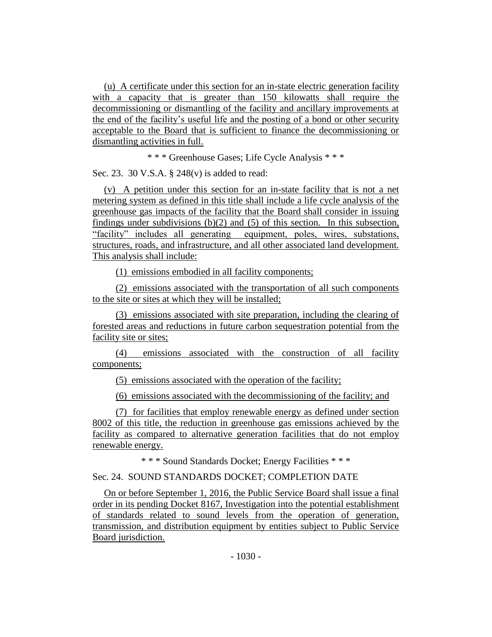(u) A certificate under this section for an in-state electric generation facility with a capacity that is greater than 150 kilowatts shall require the decommissioning or dismantling of the facility and ancillary improvements at the end of the facility's useful life and the posting of a bond or other security acceptable to the Board that is sufficient to finance the decommissioning or dismantling activities in full.

\* \* \* Greenhouse Gases; Life Cycle Analysis \* \* \*

Sec. 23. 30 V.S.A. § 248(v) is added to read:

(v) A petition under this section for an in-state facility that is not a net metering system as defined in this title shall include a life cycle analysis of the greenhouse gas impacts of the facility that the Board shall consider in issuing findings under subdivisions  $(b)(2)$  and  $(5)$  of this section. In this subsection, "facility" includes all generating equipment, poles, wires, substations, structures, roads, and infrastructure, and all other associated land development. This analysis shall include:

(1) emissions embodied in all facility components;

(2) emissions associated with the transportation of all such components to the site or sites at which they will be installed;

(3) emissions associated with site preparation, including the clearing of forested areas and reductions in future carbon sequestration potential from the facility site or sites;

(4) emissions associated with the construction of all facility components;

(5) emissions associated with the operation of the facility;

(6) emissions associated with the decommissioning of the facility; and

(7) for facilities that employ renewable energy as defined under section 8002 of this title, the reduction in greenhouse gas emissions achieved by the facility as compared to alternative generation facilities that do not employ renewable energy.

\* \* \* Sound Standards Docket; Energy Facilities \* \* \*

## Sec. 24. SOUND STANDARDS DOCKET; COMPLETION DATE

On or before September 1, 2016, the Public Service Board shall issue a final order in its pending Docket 8167, Investigation into the potential establishment of standards related to sound levels from the operation of generation, transmission, and distribution equipment by entities subject to Public Service Board jurisdiction.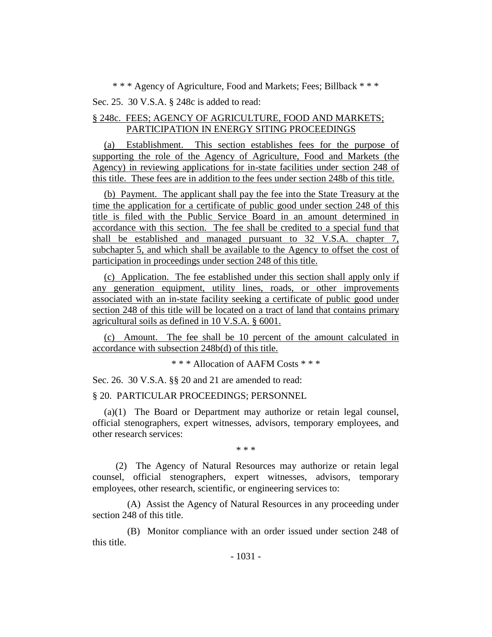\* \* \* Agency of Agriculture, Food and Markets; Fees; Billback \* \* \*

Sec. 25. 30 V.S.A. § 248c is added to read:

## § 248c. FEES; AGENCY OF AGRICULTURE, FOOD AND MARKETS; PARTICIPATION IN ENERGY SITING PROCEEDINGS

(a) Establishment. This section establishes fees for the purpose of supporting the role of the Agency of Agriculture, Food and Markets (the Agency) in reviewing applications for in-state facilities under section 248 of this title. These fees are in addition to the fees under section 248b of this title.

(b) Payment. The applicant shall pay the fee into the State Treasury at the time the application for a certificate of public good under section 248 of this title is filed with the Public Service Board in an amount determined in accordance with this section. The fee shall be credited to a special fund that shall be established and managed pursuant to 32 V.S.A. chapter 7, subchapter 5, and which shall be available to the Agency to offset the cost of participation in proceedings under section 248 of this title.

(c) Application. The fee established under this section shall apply only if any generation equipment, utility lines, roads, or other improvements associated with an in-state facility seeking a certificate of public good under section 248 of this title will be located on a tract of land that contains primary agricultural soils as defined in 10 V.S.A. § 6001.

(c) Amount. The fee shall be 10 percent of the amount calculated in accordance with subsection 248b(d) of this title.

\* \* \* Allocation of AAFM Costs \* \* \*

Sec. 26. 30 V.S.A. §§ 20 and 21 are amended to read:

§ 20. PARTICULAR PROCEEDINGS; PERSONNEL

(a)(1) The Board or Department may authorize or retain legal counsel, official stenographers, expert witnesses, advisors, temporary employees, and other research services:

\* \* \*

(2) The Agency of Natural Resources may authorize or retain legal counsel, official stenographers, expert witnesses, advisors, temporary employees, other research, scientific, or engineering services to:

(A) Assist the Agency of Natural Resources in any proceeding under section 248 of this title.

(B) Monitor compliance with an order issued under section 248 of this title.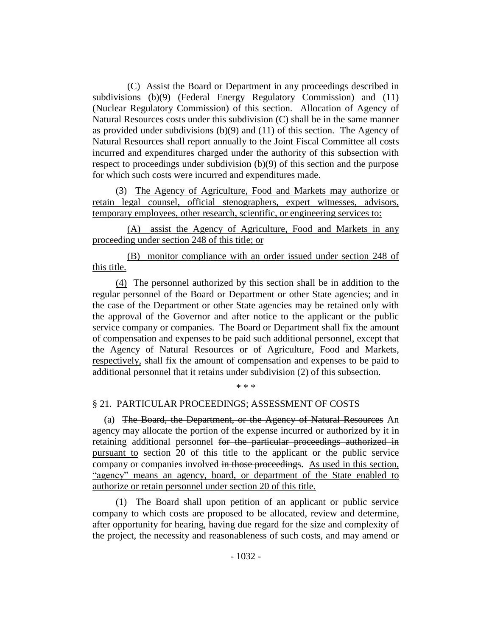(C) Assist the Board or Department in any proceedings described in subdivisions (b)(9) (Federal Energy Regulatory Commission) and (11) (Nuclear Regulatory Commission) of this section. Allocation of Agency of Natural Resources costs under this subdivision (C) shall be in the same manner as provided under subdivisions (b)(9) and (11) of this section. The Agency of Natural Resources shall report annually to the Joint Fiscal Committee all costs incurred and expenditures charged under the authority of this subsection with respect to proceedings under subdivision (b)(9) of this section and the purpose for which such costs were incurred and expenditures made.

(3) The Agency of Agriculture, Food and Markets may authorize or retain legal counsel, official stenographers, expert witnesses, advisors, temporary employees, other research, scientific, or engineering services to:

(A) assist the Agency of Agriculture, Food and Markets in any proceeding under section 248 of this title; or

(B) monitor compliance with an order issued under section 248 of this title.

(4) The personnel authorized by this section shall be in addition to the regular personnel of the Board or Department or other State agencies; and in the case of the Department or other State agencies may be retained only with the approval of the Governor and after notice to the applicant or the public service company or companies. The Board or Department shall fix the amount of compensation and expenses to be paid such additional personnel, except that the Agency of Natural Resources or of Agriculture, Food and Markets, respectively, shall fix the amount of compensation and expenses to be paid to additional personnel that it retains under subdivision (2) of this subsection.

\* \* \*

#### § 21. PARTICULAR PROCEEDINGS; ASSESSMENT OF COSTS

(a) The Board, the Department, or the Agency of Natural Resources An agency may allocate the portion of the expense incurred or authorized by it in retaining additional personnel for the particular proceedings authorized in pursuant to section 20 of this title to the applicant or the public service company or companies involved in those proceedings. As used in this section, "agency" means an agency, board, or department of the State enabled to authorize or retain personnel under section 20 of this title.

(1) The Board shall upon petition of an applicant or public service company to which costs are proposed to be allocated, review and determine, after opportunity for hearing, having due regard for the size and complexity of the project, the necessity and reasonableness of such costs, and may amend or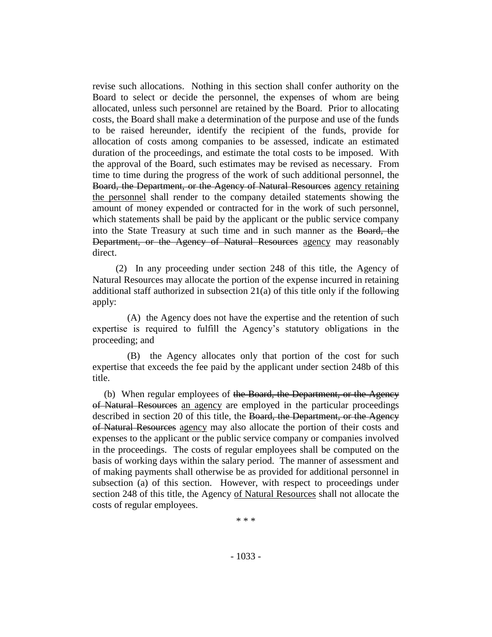revise such allocations. Nothing in this section shall confer authority on the Board to select or decide the personnel, the expenses of whom are being allocated, unless such personnel are retained by the Board. Prior to allocating costs, the Board shall make a determination of the purpose and use of the funds to be raised hereunder, identify the recipient of the funds, provide for allocation of costs among companies to be assessed, indicate an estimated duration of the proceedings, and estimate the total costs to be imposed. With the approval of the Board, such estimates may be revised as necessary. From time to time during the progress of the work of such additional personnel, the Board, the Department, or the Agency of Natural Resources agency retaining the personnel shall render to the company detailed statements showing the amount of money expended or contracted for in the work of such personnel, which statements shall be paid by the applicant or the public service company into the State Treasury at such time and in such manner as the Board, the Department, or the Agency of Natural Resources agency may reasonably direct.

(2) In any proceeding under section 248 of this title, the Agency of Natural Resources may allocate the portion of the expense incurred in retaining additional staff authorized in subsection 21(a) of this title only if the following apply:

(A) the Agency does not have the expertise and the retention of such expertise is required to fulfill the Agency's statutory obligations in the proceeding; and

(B) the Agency allocates only that portion of the cost for such expertise that exceeds the fee paid by the applicant under section 248b of this title.

(b) When regular employees of the Board, the Department, or the Agency of Natural Resources an agency are employed in the particular proceedings described in section 20 of this title, the Board, the Department, or the Agency of Natural Resources agency may also allocate the portion of their costs and expenses to the applicant or the public service company or companies involved in the proceedings. The costs of regular employees shall be computed on the basis of working days within the salary period. The manner of assessment and of making payments shall otherwise be as provided for additional personnel in subsection (a) of this section. However, with respect to proceedings under section 248 of this title, the Agency of Natural Resources shall not allocate the costs of regular employees.

\* \* \*

- 1033 -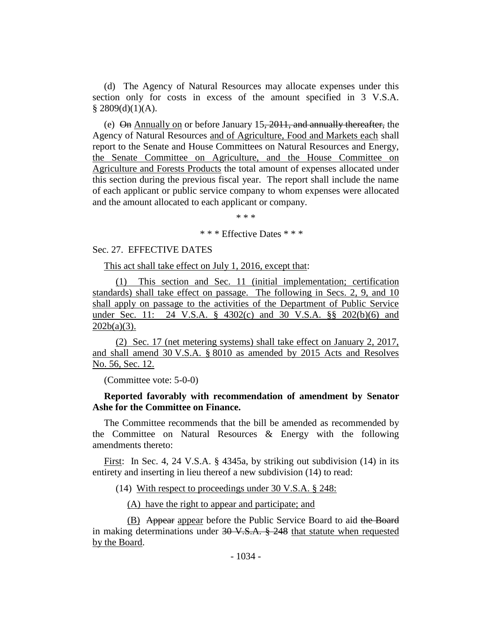(d) The Agency of Natural Resources may allocate expenses under this section only for costs in excess of the amount specified in 3 V.S.A.  $§$  2809(d)(1)(A).

(e) On Annually on or before January 15, 2011, and annually thereafter, the Agency of Natural Resources and of Agriculture, Food and Markets each shall report to the Senate and House Committees on Natural Resources and Energy, the Senate Committee on Agriculture, and the House Committee on Agriculture and Forests Products the total amount of expenses allocated under this section during the previous fiscal year. The report shall include the name of each applicant or public service company to whom expenses were allocated and the amount allocated to each applicant or company.

\* \* \*

\* \* \* Effective Dates \* \* \*

#### Sec. 27. EFFECTIVE DATES

This act shall take effect on July 1, 2016, except that:

(1) This section and Sec. 11 (initial implementation; certification standards) shall take effect on passage. The following in Secs. 2, 9, and 10 shall apply on passage to the activities of the Department of Public Service under Sec. 11: 24 V.S.A. § 4302(c) and 30 V.S.A. §§ 202(b)(6) and  $202b(a)(3)$ .

(2) Sec. 17 (net metering systems) shall take effect on January 2, 2017, and shall amend 30 V.S.A. § 8010 as amended by 2015 Acts and Resolves No. 56, Sec. 12.

(Committee vote: 5-0-0)

## **Reported favorably with recommendation of amendment by Senator Ashe for the Committee on Finance.**

The Committee recommends that the bill be amended as recommended by the Committee on Natural Resources & Energy with the following amendments thereto:

First: In Sec. 4, 24 V.S.A. § 4345a, by striking out subdivision (14) in its entirety and inserting in lieu thereof a new subdivision (14) to read:

(14) With respect to proceedings under 30 V.S.A. § 248:

(A) have the right to appear and participate; and

(B) Appear appear before the Public Service Board to aid the Board in making determinations under  $30 \text{ V.S.A.}$  § 248 that statute when requested by the Board.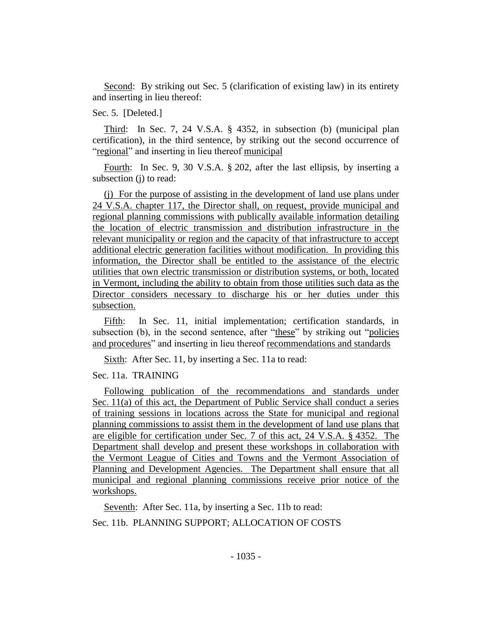Second: By striking out Sec. 5 (clarification of existing law) in its entirety and inserting in lieu thereof:

Sec. 5. [Deleted.]

Third: In Sec. 7, 24 V.S.A. § 4352, in subsection (b) (municipal plan certification), in the third sentence, by striking out the second occurrence of "regional" and inserting in lieu thereof municipal

Fourth: In Sec. 9, 30 V.S.A. § 202, after the last ellipsis, by inserting a subsection (j) to read:

(j) For the purpose of assisting in the development of land use plans under 24 V.S.A. chapter 117, the Director shall, on request, provide municipal and regional planning commissions with publically available information detailing the location of electric transmission and distribution infrastructure in the relevant municipality or region and the capacity of that infrastructure to accept additional electric generation facilities without modification. In providing this information, the Director shall be entitled to the assistance of the electric utilities that own electric transmission or distribution systems, or both, located in Vermont, including the ability to obtain from those utilities such data as the Director considers necessary to discharge his or her duties under this subsection.

Fifth: In Sec. 11, initial implementation; certification standards, in subsection (b), in the second sentence, after "these" by striking out "policies and procedures" and inserting in lieu thereof recommendations and standards

Sixth: After Sec. 11, by inserting a Sec. 11a to read:

Sec. 11a. TRAINING

Following publication of the recommendations and standards under Sec. 11(a) of this act, the Department of Public Service shall conduct a series of training sessions in locations across the State for municipal and regional planning commissions to assist them in the development of land use plans that are eligible for certification under Sec. 7 of this act, 24 V.S.A. § 4352. The Department shall develop and present these workshops in collaboration with the Vermont League of Cities and Towns and the Vermont Association of Planning and Development Agencies. The Department shall ensure that all municipal and regional planning commissions receive prior notice of the workshops.

Seventh: After Sec. 11a, by inserting a Sec. 11b to read:

Sec. 11b. PLANNING SUPPORT; ALLOCATION OF COSTS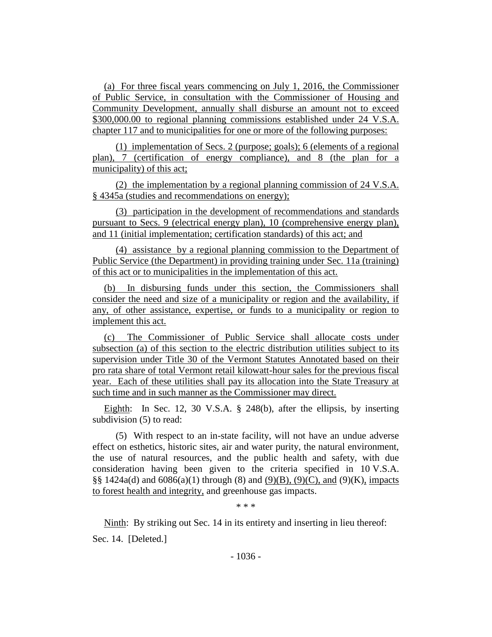(a) For three fiscal years commencing on July 1, 2016, the Commissioner of Public Service, in consultation with the Commissioner of Housing and Community Development, annually shall disburse an amount not to exceed \$300,000.00 to regional planning commissions established under 24 V.S.A. chapter 117 and to municipalities for one or more of the following purposes:

(1) implementation of Secs. 2 (purpose; goals); 6 (elements of a regional plan), 7 (certification of energy compliance), and 8 (the plan for a municipality) of this act;

(2) the implementation by a regional planning commission of 24 V.S.A. § 4345a (studies and recommendations on energy);

(3) participation in the development of recommendations and standards pursuant to Secs. 9 (electrical energy plan), 10 (comprehensive energy plan), and 11 (initial implementation; certification standards) of this act; and

(4) assistance by a regional planning commission to the Department of Public Service (the Department) in providing training under Sec. 11a (training) of this act or to municipalities in the implementation of this act.

(b) In disbursing funds under this section, the Commissioners shall consider the need and size of a municipality or region and the availability, if any, of other assistance, expertise, or funds to a municipality or region to implement this act.

(c) The Commissioner of Public Service shall allocate costs under subsection (a) of this section to the electric distribution utilities subject to its supervision under Title 30 of the Vermont Statutes Annotated based on their pro rata share of total Vermont retail kilowatt-hour sales for the previous fiscal year. Each of these utilities shall pay its allocation into the State Treasury at such time and in such manner as the Commissioner may direct.

Eighth: In Sec. 12, 30 V.S.A. § 248(b), after the ellipsis, by inserting subdivision (5) to read:

(5) With respect to an in-state facility, will not have an undue adverse effect on esthetics, historic sites, air and water purity, the natural environment, the use of natural resources, and the public health and safety, with due consideration having been given to the criteria specified in 10 V.S.A. §§ 1424a(d) and  $6086(a)(1)$  through (8) and  $(9)(B)$ ,  $(9)(C)$ , and  $(9)(K)$ , impacts to forest health and integrity, and greenhouse gas impacts.

\* \* \*

Ninth: By striking out Sec. 14 in its entirety and inserting in lieu thereof:

Sec. 14. [Deleted.]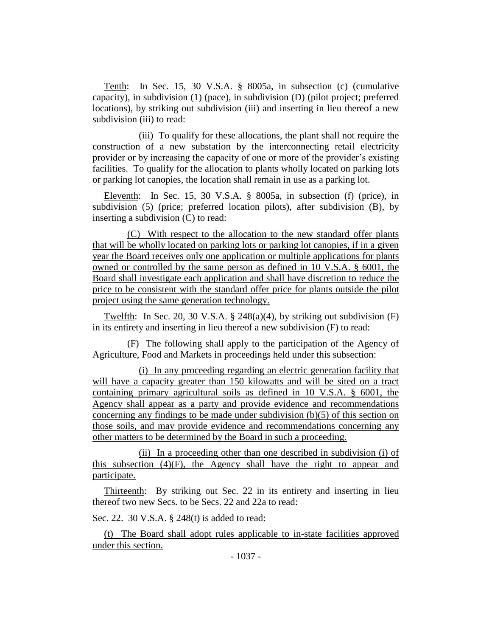Tenth: In Sec. 15, 30 V.S.A. § 8005a, in subsection (c) (cumulative capacity), in subdivision (1) (pace), in subdivision (D) (pilot project; preferred locations), by striking out subdivision (iii) and inserting in lieu thereof a new subdivision (iii) to read:

(iii) To qualify for these allocations, the plant shall not require the construction of a new substation by the interconnecting retail electricity provider or by increasing the capacity of one or more of the provider's existing facilities. To qualify for the allocation to plants wholly located on parking lots or parking lot canopies, the location shall remain in use as a parking lot.

Eleventh: In Sec. 15, 30 V.S.A. § 8005a, in subsection (f) (price), in subdivision (5) (price; preferred location pilots), after subdivision (B), by inserting a subdivision (C) to read:

(C) With respect to the allocation to the new standard offer plants that will be wholly located on parking lots or parking lot canopies, if in a given year the Board receives only one application or multiple applications for plants owned or controlled by the same person as defined in 10 V.S.A. § 6001, the Board shall investigate each application and shall have discretion to reduce the price to be consistent with the standard offer price for plants outside the pilot project using the same generation technology.

Twelfth: In Sec. 20, 30 V.S.A. § 248(a)(4), by striking out subdivision (F) in its entirety and inserting in lieu thereof a new subdivision (F) to read:

(F) The following shall apply to the participation of the Agency of Agriculture, Food and Markets in proceedings held under this subsection:

(i) In any proceeding regarding an electric generation facility that will have a capacity greater than 150 kilowatts and will be sited on a tract containing primary agricultural soils as defined in 10 V.S.A. § 6001, the Agency shall appear as a party and provide evidence and recommendations concerning any findings to be made under subdivision  $(b)(5)$  of this section on those soils, and may provide evidence and recommendations concerning any other matters to be determined by the Board in such a proceeding.

(ii) In a proceeding other than one described in subdivision (i) of this subsection (4)(F), the Agency shall have the right to appear and participate.

Thirteenth: By striking out Sec. 22 in its entirety and inserting in lieu thereof two new Secs. to be Secs. 22 and 22a to read:

Sec. 22. 30 V.S.A. § 248(t) is added to read:

(t) The Board shall adopt rules applicable to in-state facilities approved under this section.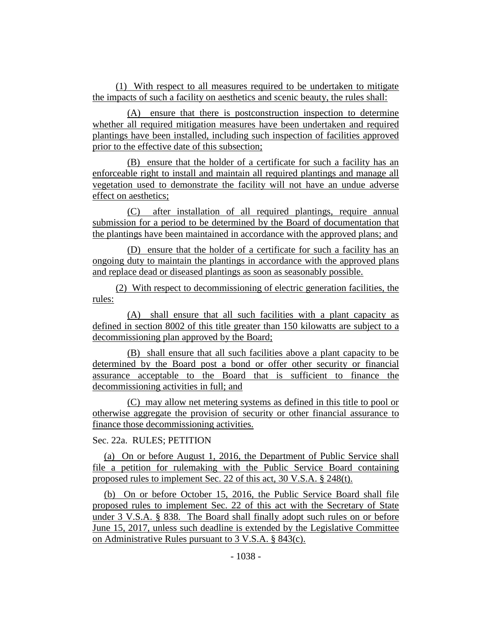(1) With respect to all measures required to be undertaken to mitigate the impacts of such a facility on aesthetics and scenic beauty, the rules shall:

(A) ensure that there is postconstruction inspection to determine whether all required mitigation measures have been undertaken and required plantings have been installed, including such inspection of facilities approved prior to the effective date of this subsection;

(B) ensure that the holder of a certificate for such a facility has an enforceable right to install and maintain all required plantings and manage all vegetation used to demonstrate the facility will not have an undue adverse effect on aesthetics;

(C) after installation of all required plantings, require annual submission for a period to be determined by the Board of documentation that the plantings have been maintained in accordance with the approved plans; and

(D) ensure that the holder of a certificate for such a facility has an ongoing duty to maintain the plantings in accordance with the approved plans and replace dead or diseased plantings as soon as seasonably possible.

(2) With respect to decommissioning of electric generation facilities, the rules:

(A) shall ensure that all such facilities with a plant capacity as defined in section 8002 of this title greater than 150 kilowatts are subject to a decommissioning plan approved by the Board;

(B) shall ensure that all such facilities above a plant capacity to be determined by the Board post a bond or offer other security or financial assurance acceptable to the Board that is sufficient to finance the decommissioning activities in full; and

(C) may allow net metering systems as defined in this title to pool or otherwise aggregate the provision of security or other financial assurance to finance those decommissioning activities.

## Sec. 22a. RULES; PETITION

(a) On or before August 1, 2016, the Department of Public Service shall file a petition for rulemaking with the Public Service Board containing proposed rules to implement Sec. 22 of this act, 30 V.S.A. § 248(t).

(b) On or before October 15, 2016, the Public Service Board shall file proposed rules to implement Sec. 22 of this act with the Secretary of State under 3 V.S.A. § 838. The Board shall finally adopt such rules on or before June 15, 2017, unless such deadline is extended by the Legislative Committee on Administrative Rules pursuant to 3 V.S.A. § 843(c).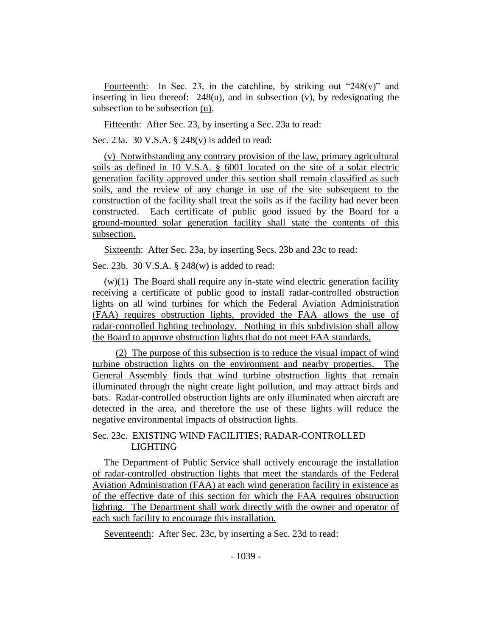Fourteenth: In Sec. 23, in the catchline, by striking out "248(v)" and inserting in lieu thereof: 248(u), and in subsection (v), by redesignating the subsection to be subsection (u).

Fifteenth: After Sec. 23, by inserting a Sec. 23a to read:

Sec. 23a. 30 V.S.A. § 248(v) is added to read:

(v) Notwithstanding any contrary provision of the law, primary agricultural soils as defined in 10 V.S.A. § 6001 located on the site of a solar electric generation facility approved under this section shall remain classified as such soils, and the review of any change in use of the site subsequent to the construction of the facility shall treat the soils as if the facility had never been constructed. Each certificate of public good issued by the Board for a ground-mounted solar generation facility shall state the contents of this subsection.

Sixteenth: After Sec. 23a, by inserting Secs. 23b and 23c to read:

Sec. 23b. 30 V.S.A. § 248(w) is added to read:

 $(w)(1)$  The Board shall require any in-state wind electric generation facility receiving a certificate of public good to install radar-controlled obstruction lights on all wind turbines for which the Federal Aviation Administration (FAA) requires obstruction lights, provided the FAA allows the use of radar-controlled lighting technology. Nothing in this subdivision shall allow the Board to approve obstruction lights that do not meet FAA standards.

(2) The purpose of this subsection is to reduce the visual impact of wind turbine obstruction lights on the environment and nearby properties. The General Assembly finds that wind turbine obstruction lights that remain illuminated through the night create light pollution, and may attract birds and bats. Radar-controlled obstruction lights are only illuminated when aircraft are detected in the area, and therefore the use of these lights will reduce the negative environmental impacts of obstruction lights.

## Sec. 23c. EXISTING WIND FACILITIES; RADAR-CONTROLLED LIGHTING

The Department of Public Service shall actively encourage the installation of radar-controlled obstruction lights that meet the standards of the Federal Aviation Administration (FAA) at each wind generation facility in existence as of the effective date of this section for which the FAA requires obstruction lighting. The Department shall work directly with the owner and operator of each such facility to encourage this installation.

Seventeenth: After Sec. 23c, by inserting a Sec. 23d to read: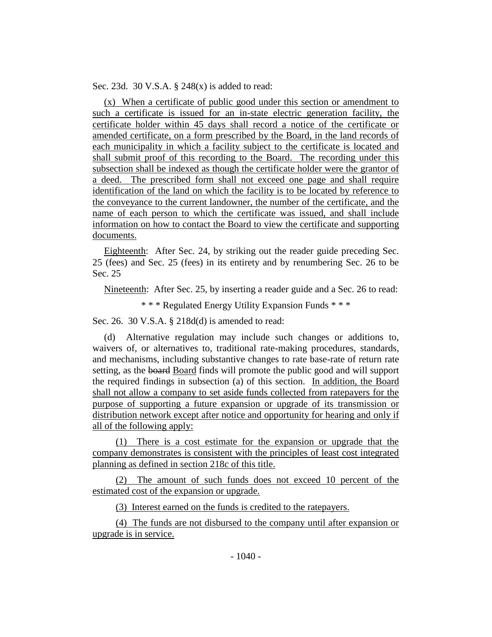Sec. 23d. 30 V.S.A. § 248(x) is added to read:

(x) When a certificate of public good under this section or amendment to such a certificate is issued for an in-state electric generation facility, the certificate holder within 45 days shall record a notice of the certificate or amended certificate, on a form prescribed by the Board, in the land records of each municipality in which a facility subject to the certificate is located and shall submit proof of this recording to the Board. The recording under this subsection shall be indexed as though the certificate holder were the grantor of a deed. The prescribed form shall not exceed one page and shall require identification of the land on which the facility is to be located by reference to the conveyance to the current landowner, the number of the certificate, and the name of each person to which the certificate was issued, and shall include information on how to contact the Board to view the certificate and supporting documents.

Eighteenth: After Sec. 24, by striking out the reader guide preceding Sec. 25 (fees) and Sec. 25 (fees) in its entirety and by renumbering Sec. 26 to be Sec. 25

Nineteenth: After Sec. 25, by inserting a reader guide and a Sec. 26 to read:

\* \* \* Regulated Energy Utility Expansion Funds \* \* \*

Sec. 26. 30 V.S.A. § 218d(d) is amended to read:

(d) Alternative regulation may include such changes or additions to, waivers of, or alternatives to, traditional rate-making procedures, standards, and mechanisms, including substantive changes to rate base-rate of return rate setting, as the board Board finds will promote the public good and will support the required findings in subsection (a) of this section. In addition, the Board shall not allow a company to set aside funds collected from ratepayers for the purpose of supporting a future expansion or upgrade of its transmission or distribution network except after notice and opportunity for hearing and only if all of the following apply:

(1) There is a cost estimate for the expansion or upgrade that the company demonstrates is consistent with the principles of least cost integrated planning as defined in section 218c of this title.

(2) The amount of such funds does not exceed 10 percent of the estimated cost of the expansion or upgrade.

(3) Interest earned on the funds is credited to the ratepayers.

(4) The funds are not disbursed to the company until after expansion or upgrade is in service.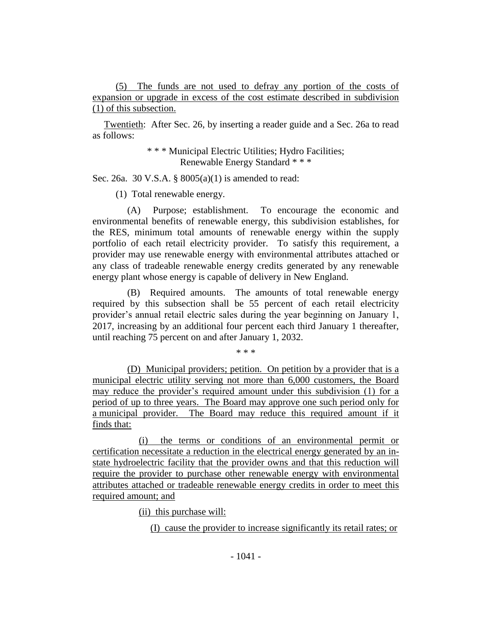(5) The funds are not used to defray any portion of the costs of expansion or upgrade in excess of the cost estimate described in subdivision (1) of this subsection.

Twentieth: After Sec. 26, by inserting a reader guide and a Sec. 26a to read as follows:

> \* \* \* Municipal Electric Utilities; Hydro Facilities; Renewable Energy Standard \* \* \*

Sec. 26a. 30 V.S.A. § 8005(a)(1) is amended to read:

(1) Total renewable energy.

(A) Purpose; establishment. To encourage the economic and environmental benefits of renewable energy, this subdivision establishes, for the RES, minimum total amounts of renewable energy within the supply portfolio of each retail electricity provider. To satisfy this requirement, a provider may use renewable energy with environmental attributes attached or any class of tradeable renewable energy credits generated by any renewable energy plant whose energy is capable of delivery in New England.

(B) Required amounts. The amounts of total renewable energy required by this subsection shall be 55 percent of each retail electricity provider's annual retail electric sales during the year beginning on January 1, 2017, increasing by an additional four percent each third January 1 thereafter, until reaching 75 percent on and after January 1, 2032.

\* \* \*

(D) Municipal providers; petition. On petition by a provider that is a municipal electric utility serving not more than 6,000 customers, the Board may reduce the provider's required amount under this subdivision (1) for a period of up to three years. The Board may approve one such period only for a municipal provider. The Board may reduce this required amount if it finds that:

(i) the terms or conditions of an environmental permit or certification necessitate a reduction in the electrical energy generated by an instate hydroelectric facility that the provider owns and that this reduction will require the provider to purchase other renewable energy with environmental attributes attached or tradeable renewable energy credits in order to meet this required amount; and

(ii) this purchase will:

(I) cause the provider to increase significantly its retail rates; or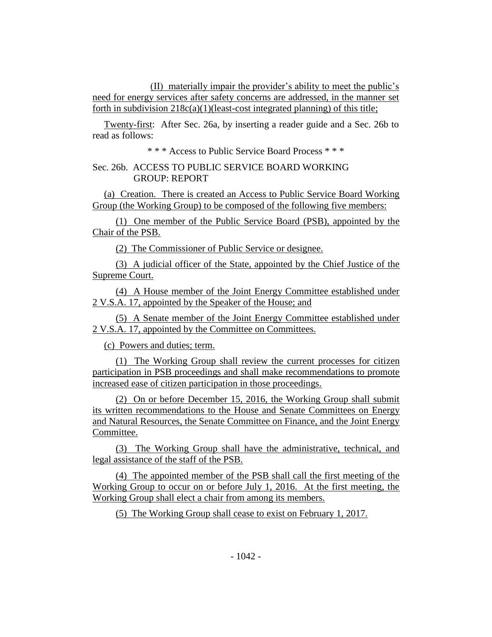(II) materially impair the provider's ability to meet the public's need for energy services after safety concerns are addressed, in the manner set forth in subdivision  $218c(a)(1)(least-cost integrated planning)$  of this title;

Twenty-first: After Sec. 26a, by inserting a reader guide and a Sec. 26b to read as follows:

\* \* \* Access to Public Service Board Process \* \* \*

# Sec. 26b. ACCESS TO PUBLIC SERVICE BOARD WORKING GROUP: REPORT

(a) Creation. There is created an Access to Public Service Board Working Group (the Working Group) to be composed of the following five members:

(1) One member of the Public Service Board (PSB), appointed by the Chair of the PSB.

(2) The Commissioner of Public Service or designee.

(3) A judicial officer of the State, appointed by the Chief Justice of the Supreme Court.

(4) A House member of the Joint Energy Committee established under 2 V.S.A. 17, appointed by the Speaker of the House; and

(5) A Senate member of the Joint Energy Committee established under 2 V.S.A. 17, appointed by the Committee on Committees.

(c) Powers and duties; term.

(1) The Working Group shall review the current processes for citizen participation in PSB proceedings and shall make recommendations to promote increased ease of citizen participation in those proceedings.

(2) On or before December 15, 2016, the Working Group shall submit its written recommendations to the House and Senate Committees on Energy and Natural Resources, the Senate Committee on Finance, and the Joint Energy Committee.

(3) The Working Group shall have the administrative, technical, and legal assistance of the staff of the PSB.

(4) The appointed member of the PSB shall call the first meeting of the Working Group to occur on or before July 1, 2016. At the first meeting, the Working Group shall elect a chair from among its members.

(5) The Working Group shall cease to exist on February 1, 2017.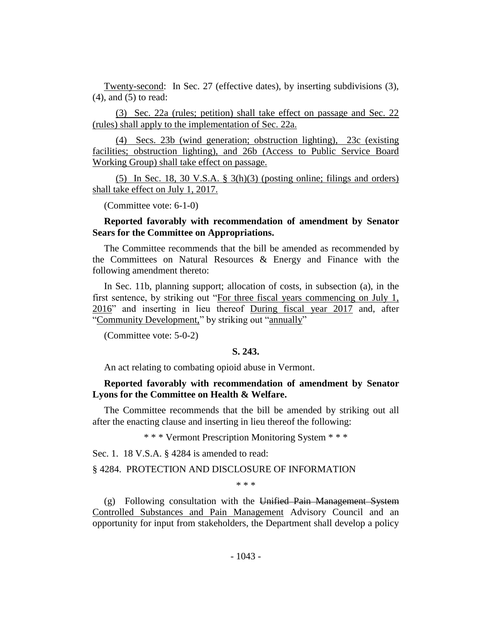Twenty-second: In Sec. 27 (effective dates), by inserting subdivisions (3), (4), and (5) to read:

(3) Sec. 22a (rules; petition) shall take effect on passage and Sec. 22 (rules) shall apply to the implementation of Sec. 22a.

(4) Secs. 23b (wind generation; obstruction lighting), 23c (existing facilities; obstruction lighting), and 26b (Access to Public Service Board Working Group) shall take effect on passage.

(5) In Sec. 18, 30 V.S.A.  $\S$  3(h)(3) (posting online; filings and orders) shall take effect on July 1, 2017.

(Committee vote: 6-1-0)

## **Reported favorably with recommendation of amendment by Senator Sears for the Committee on Appropriations.**

The Committee recommends that the bill be amended as recommended by the Committees on Natural Resources & Energy and Finance with the following amendment thereto:

In Sec. 11b, planning support; allocation of costs, in subsection (a), in the first sentence, by striking out "For three fiscal years commencing on July 1, 2016" and inserting in lieu thereof During fiscal year 2017 and, after "Community Development," by striking out "annually"

(Committee vote: 5-0-2)

## **S. 243.**

An act relating to combating opioid abuse in Vermont.

## **Reported favorably with recommendation of amendment by Senator Lyons for the Committee on Health & Welfare.**

The Committee recommends that the bill be amended by striking out all after the enacting clause and inserting in lieu thereof the following:

\* \* \* Vermont Prescription Monitoring System \* \* \*

Sec. 1. 18 V.S.A. § 4284 is amended to read:

#### § 4284. PROTECTION AND DISCLOSURE OF INFORMATION

\* \* \*

(g) Following consultation with the Unified Pain Management System Controlled Substances and Pain Management Advisory Council and an opportunity for input from stakeholders, the Department shall develop a policy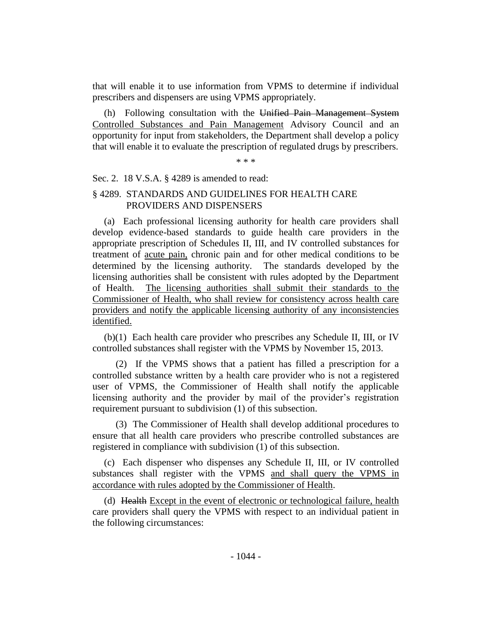that will enable it to use information from VPMS to determine if individual prescribers and dispensers are using VPMS appropriately.

(h) Following consultation with the Unified Pain Management System Controlled Substances and Pain Management Advisory Council and an opportunity for input from stakeholders, the Department shall develop a policy that will enable it to evaluate the prescription of regulated drugs by prescribers.

\* \* \*

## Sec. 2. 18 V.S.A. § 4289 is amended to read:

## § 4289. STANDARDS AND GUIDELINES FOR HEALTH CARE PROVIDERS AND DISPENSERS

(a) Each professional licensing authority for health care providers shall develop evidence-based standards to guide health care providers in the appropriate prescription of Schedules II, III, and IV controlled substances for treatment of acute pain, chronic pain and for other medical conditions to be determined by the licensing authority. The standards developed by the licensing authorities shall be consistent with rules adopted by the Department of Health. The licensing authorities shall submit their standards to the Commissioner of Health, who shall review for consistency across health care providers and notify the applicable licensing authority of any inconsistencies identified.

(b)(1) Each health care provider who prescribes any Schedule II, III, or IV controlled substances shall register with the VPMS by November 15, 2013.

(2) If the VPMS shows that a patient has filled a prescription for a controlled substance written by a health care provider who is not a registered user of VPMS, the Commissioner of Health shall notify the applicable licensing authority and the provider by mail of the provider's registration requirement pursuant to subdivision (1) of this subsection.

(3) The Commissioner of Health shall develop additional procedures to ensure that all health care providers who prescribe controlled substances are registered in compliance with subdivision (1) of this subsection.

(c) Each dispenser who dispenses any Schedule II, III, or IV controlled substances shall register with the VPMS and shall query the VPMS in accordance with rules adopted by the Commissioner of Health.

(d) Health Except in the event of electronic or technological failure, health care providers shall query the VPMS with respect to an individual patient in the following circumstances: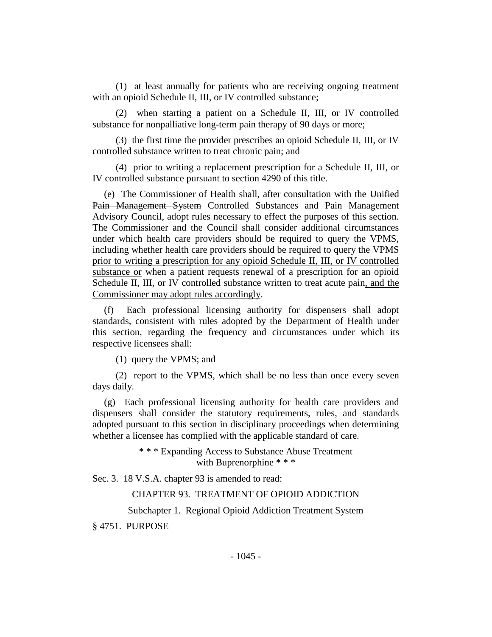(1) at least annually for patients who are receiving ongoing treatment with an opioid Schedule II, III, or IV controlled substance;

(2) when starting a patient on a Schedule II, III, or IV controlled substance for nonpalliative long-term pain therapy of 90 days or more;

(3) the first time the provider prescribes an opioid Schedule II, III, or IV controlled substance written to treat chronic pain; and

(4) prior to writing a replacement prescription for a Schedule II, III, or IV controlled substance pursuant to section 4290 of this title.

(e) The Commissioner of Health shall, after consultation with the Unified Pain Management System Controlled Substances and Pain Management Advisory Council, adopt rules necessary to effect the purposes of this section. The Commissioner and the Council shall consider additional circumstances under which health care providers should be required to query the VPMS, including whether health care providers should be required to query the VPMS prior to writing a prescription for any opioid Schedule II, III, or IV controlled substance or when a patient requests renewal of a prescription for an opioid Schedule II, III, or IV controlled substance written to treat acute pain, and the Commissioner may adopt rules accordingly.

(f) Each professional licensing authority for dispensers shall adopt standards, consistent with rules adopted by the Department of Health under this section, regarding the frequency and circumstances under which its respective licensees shall:

(1) query the VPMS; and

(2) report to the VPMS, which shall be no less than once every seven days daily.

(g) Each professional licensing authority for health care providers and dispensers shall consider the statutory requirements, rules, and standards adopted pursuant to this section in disciplinary proceedings when determining whether a licensee has complied with the applicable standard of care.

> \* \* \* Expanding Access to Substance Abuse Treatment with Buprenorphine \* \* \*

Sec. 3. 18 V.S.A. chapter 93 is amended to read:

CHAPTER 93. TREATMENT OF OPIOID ADDICTION

Subchapter 1. Regional Opioid Addiction Treatment System

§ 4751. PURPOSE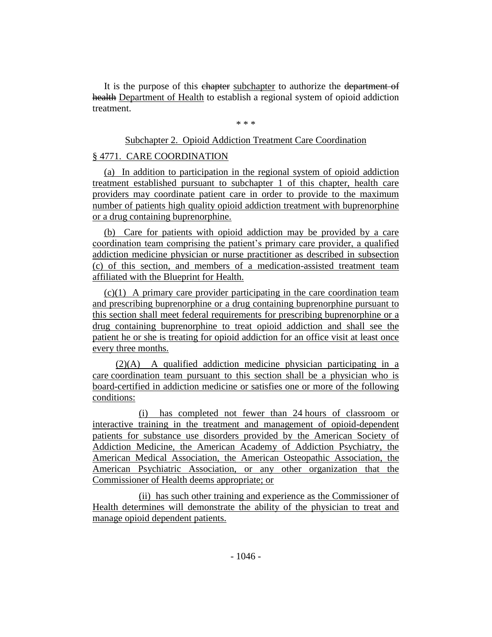It is the purpose of this chapter subchapter to authorize the department of health Department of Health to establish a regional system of opioid addiction treatment.

\* \* \*

## Subchapter 2. Opioid Addiction Treatment Care Coordination

## § 4771. CARE COORDINATION

(a) In addition to participation in the regional system of opioid addiction treatment established pursuant to subchapter 1 of this chapter, health care providers may coordinate patient care in order to provide to the maximum number of patients high quality opioid addiction treatment with buprenorphine or a drug containing buprenorphine.

(b) Care for patients with opioid addiction may be provided by a care coordination team comprising the patient's primary care provider, a qualified addiction medicine physician or nurse practitioner as described in subsection (c) of this section, and members of a medication-assisted treatment team affiliated with the Blueprint for Health.

(c)(1) A primary care provider participating in the care coordination team and prescribing buprenorphine or a drug containing buprenorphine pursuant to this section shall meet federal requirements for prescribing buprenorphine or a drug containing buprenorphine to treat opioid addiction and shall see the patient he or she is treating for opioid addiction for an office visit at least once every three months.

(2)(A) A qualified addiction medicine physician participating in a care coordination team pursuant to this section shall be a physician who is board-certified in addiction medicine or satisfies one or more of the following conditions:

(i) has completed not fewer than 24 hours of classroom or interactive training in the treatment and management of opioid-dependent patients for substance use disorders provided by the American Society of Addiction Medicine, the American Academy of Addiction Psychiatry, the American Medical Association, the American Osteopathic Association, the American Psychiatric Association, or any other organization that the Commissioner of Health deems appropriate; or

(ii) has such other training and experience as the Commissioner of Health determines will demonstrate the ability of the physician to treat and manage opioid dependent patients.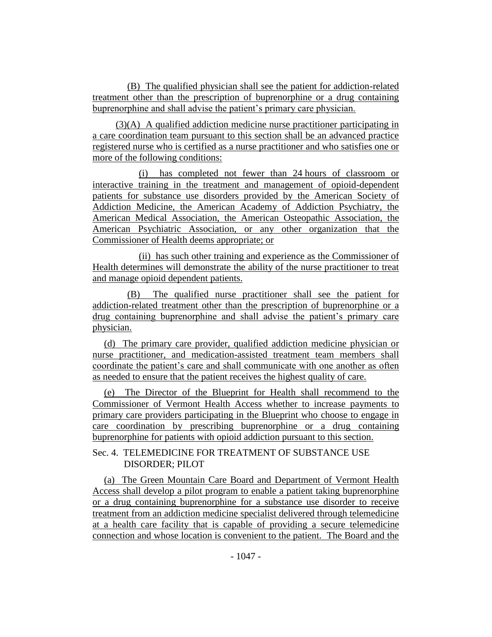(B) The qualified physician shall see the patient for addiction-related treatment other than the prescription of buprenorphine or a drug containing buprenorphine and shall advise the patient's primary care physician.

(3)(A) A qualified addiction medicine nurse practitioner participating in a care coordination team pursuant to this section shall be an advanced practice registered nurse who is certified as a nurse practitioner and who satisfies one or more of the following conditions:

(i) has completed not fewer than 24 hours of classroom or interactive training in the treatment and management of opioid-dependent patients for substance use disorders provided by the American Society of Addiction Medicine, the American Academy of Addiction Psychiatry, the American Medical Association, the American Osteopathic Association, the American Psychiatric Association, or any other organization that the Commissioner of Health deems appropriate; or

(ii) has such other training and experience as the Commissioner of Health determines will demonstrate the ability of the nurse practitioner to treat and manage opioid dependent patients.

(B) The qualified nurse practitioner shall see the patient for addiction-related treatment other than the prescription of buprenorphine or a drug containing buprenorphine and shall advise the patient's primary care physician.

(d) The primary care provider, qualified addiction medicine physician or nurse practitioner, and medication-assisted treatment team members shall coordinate the patient's care and shall communicate with one another as often as needed to ensure that the patient receives the highest quality of care.

(e) The Director of the Blueprint for Health shall recommend to the Commissioner of Vermont Health Access whether to increase payments to primary care providers participating in the Blueprint who choose to engage in care coordination by prescribing buprenorphine or a drug containing buprenorphine for patients with opioid addiction pursuant to this section.

# Sec. 4. TELEMEDICINE FOR TREATMENT OF SUBSTANCE USE DISORDER; PILOT

(a)The Green Mountain Care Board and Department of Vermont Health Access shall develop a pilot program to enable a patient taking buprenorphine or a drug containing buprenorphine for a substance use disorder to receive treatment from an addiction medicine specialist delivered through telemedicine at a health care facility that is capable of providing a secure telemedicine connection and whose location is convenient to the patient. The Board and the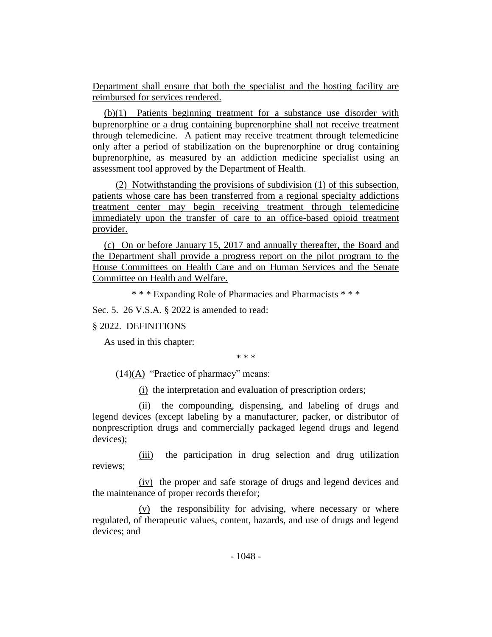Department shall ensure that both the specialist and the hosting facility are reimbursed for services rendered.

(b)(1) Patients beginning treatment for a substance use disorder with buprenorphine or a drug containing buprenorphine shall not receive treatment through telemedicine. A patient may receive treatment through telemedicine only after a period of stabilization on the buprenorphine or drug containing buprenorphine, as measured by an addiction medicine specialist using an assessment tool approved by the Department of Health.

(2) Notwithstanding the provisions of subdivision (1) of this subsection, patients whose care has been transferred from a regional specialty addictions treatment center may begin receiving treatment through telemedicine immediately upon the transfer of care to an office-based opioid treatment provider.

(c) On or before January 15, 2017 and annually thereafter, the Board and the Department shall provide a progress report on the pilot program to the House Committees on Health Care and on Human Services and the Senate Committee on Health and Welfare.

\* \* \* Expanding Role of Pharmacies and Pharmacists \* \* \*

Sec. 5. 26 V.S.A. § 2022 is amended to read:

## § 2022. DEFINITIONS

As used in this chapter:

\* \* \*

 $(14)(A)$  "Practice of pharmacy" means:

(i) the interpretation and evaluation of prescription orders;

(ii) the compounding, dispensing, and labeling of drugs and legend devices (except labeling by a manufacturer, packer, or distributor of nonprescription drugs and commercially packaged legend drugs and legend devices);

(iii) the participation in drug selection and drug utilization reviews;

(iv) the proper and safe storage of drugs and legend devices and the maintenance of proper records therefor;

(v) the responsibility for advising, where necessary or where regulated, of therapeutic values, content, hazards, and use of drugs and legend devices; and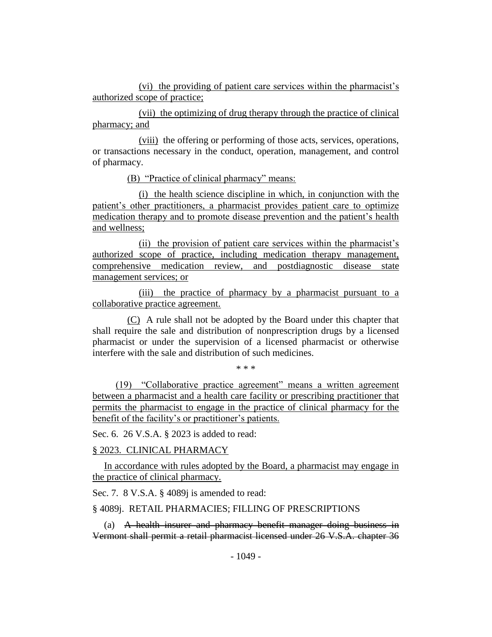(vi) the providing of patient care services within the pharmacist's authorized scope of practice;

(vii) the optimizing of drug therapy through the practice of clinical pharmacy; and

(viii) the offering or performing of those acts, services, operations, or transactions necessary in the conduct, operation, management, and control of pharmacy.

(B) "Practice of clinical pharmacy" means:

(i) the health science discipline in which, in conjunction with the patient's other practitioners, a pharmacist provides patient care to optimize medication therapy and to promote disease prevention and the patient's health and wellness;

(ii) the provision of patient care services within the pharmacist's authorized scope of practice, including medication therapy management, comprehensive medication review, and postdiagnostic disease state management services; or

(iii) the practice of pharmacy by a pharmacist pursuant to a collaborative practice agreement.

(C) A rule shall not be adopted by the Board under this chapter that shall require the sale and distribution of nonprescription drugs by a licensed pharmacist or under the supervision of a licensed pharmacist or otherwise interfere with the sale and distribution of such medicines.

.<br>ماه - ماه - ماه

(19) "Collaborative practice agreement" means a written agreement between a pharmacist and a health care facility or prescribing practitioner that permits the pharmacist to engage in the practice of clinical pharmacy for the benefit of the facility's or practitioner's patients.

Sec. 6. 26 V.S.A. § 2023 is added to read:

§ 2023. CLINICAL PHARMACY

In accordance with rules adopted by the Board, a pharmacist may engage in the practice of clinical pharmacy.

Sec. 7. 8 V.S.A. § 4089*j* is amended to read:

§ 4089j. RETAIL PHARMACIES; FILLING OF PRESCRIPTIONS

(a) A health insurer and pharmacy benefit manager doing business in Vermont shall permit a retail pharmacist licensed under 26 V.S.A. chapter 36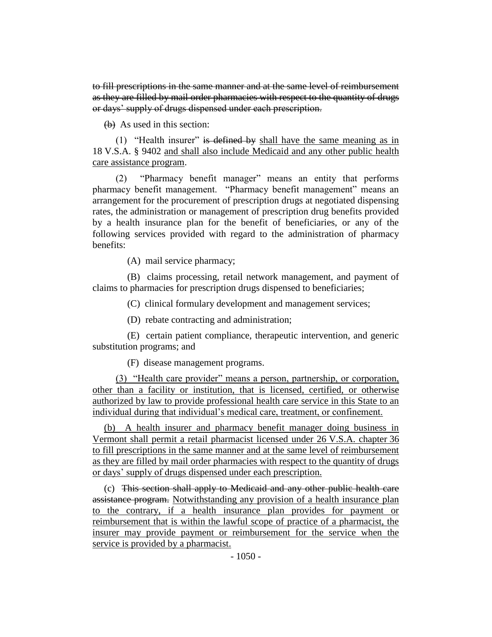to fill prescriptions in the same manner and at the same level of reimbursement as they are filled by mail order pharmacies with respect to the quantity of drugs or days' supply of drugs dispensed under each prescription.

(b) As used in this section:

(1) "Health insurer" is defined by shall have the same meaning as in 18 V.S.A. § 9402 and shall also include Medicaid and any other public health care assistance program.

(2) "Pharmacy benefit manager" means an entity that performs pharmacy benefit management. "Pharmacy benefit management" means an arrangement for the procurement of prescription drugs at negotiated dispensing rates, the administration or management of prescription drug benefits provided by a health insurance plan for the benefit of beneficiaries, or any of the following services provided with regard to the administration of pharmacy benefits:

(A) mail service pharmacy;

(B) claims processing, retail network management, and payment of claims to pharmacies for prescription drugs dispensed to beneficiaries;

(C) clinical formulary development and management services;

(D) rebate contracting and administration;

(E) certain patient compliance, therapeutic intervention, and generic substitution programs; and

(F) disease management programs.

(3) "Health care provider" means a person, partnership, or corporation, other than a facility or institution, that is licensed, certified, or otherwise authorized by law to provide professional health care service in this State to an individual during that individual's medical care, treatment, or confinement.

(b) A health insurer and pharmacy benefit manager doing business in Vermont shall permit a retail pharmacist licensed under 26 V.S.A. chapter 36 to fill prescriptions in the same manner and at the same level of reimbursement as they are filled by mail order pharmacies with respect to the quantity of drugs or days' supply of drugs dispensed under each prescription.

(c) This section shall apply to Medicaid and any other public health care assistance program. Notwithstanding any provision of a health insurance plan to the contrary, if a health insurance plan provides for payment or reimbursement that is within the lawful scope of practice of a pharmacist, the insurer may provide payment or reimbursement for the service when the service is provided by a pharmacist.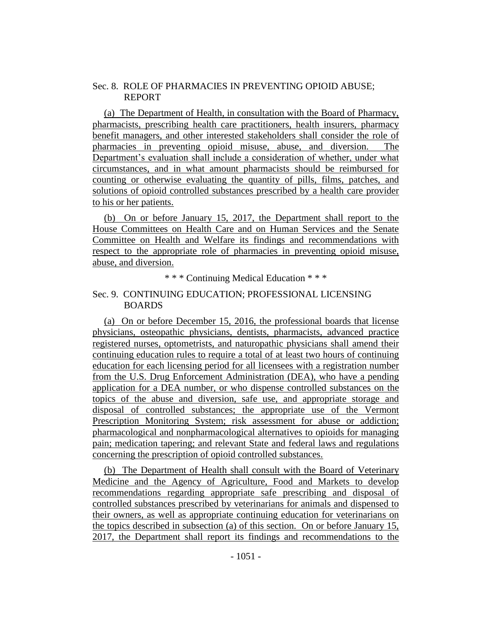## Sec. 8. ROLE OF PHARMACIES IN PREVENTING OPIOID ABUSE; REPORT

(a) The Department of Health, in consultation with the Board of Pharmacy, pharmacists, prescribing health care practitioners, health insurers, pharmacy benefit managers, and other interested stakeholders shall consider the role of pharmacies in preventing opioid misuse, abuse, and diversion. The Department's evaluation shall include a consideration of whether, under what circumstances, and in what amount pharmacists should be reimbursed for counting or otherwise evaluating the quantity of pills, films, patches, and solutions of opioid controlled substances prescribed by a health care provider to his or her patients.

(b) On or before January 15, 2017, the Department shall report to the House Committees on Health Care and on Human Services and the Senate Committee on Health and Welfare its findings and recommendations with respect to the appropriate role of pharmacies in preventing opioid misuse, abuse, and diversion.

\* \* \* Continuing Medical Education \* \* \*

## Sec. 9. CONTINUING EDUCATION; PROFESSIONAL LICENSING BOARDS

(a)On or before December 15, 2016, the professional boards that license physicians, osteopathic physicians, dentists, pharmacists, advanced practice registered nurses, optometrists, and naturopathic physicians shall amend their continuing education rules to require a total of at least two hours of continuing education for each licensing period for all licensees with a registration number from the U.S. Drug Enforcement Administration (DEA), who have a pending application for a DEA number, or who dispense controlled substances on the topics of the abuse and diversion, safe use, and appropriate storage and disposal of controlled substances; the appropriate use of the Vermont Prescription Monitoring System; risk assessment for abuse or addiction; pharmacological and nonpharmacological alternatives to opioids for managing pain; medication tapering; and relevant State and federal laws and regulations concerning the prescription of opioid controlled substances.

(b) The Department of Health shall consult with the Board of Veterinary Medicine and the Agency of Agriculture, Food and Markets to develop recommendations regarding appropriate safe prescribing and disposal of controlled substances prescribed by veterinarians for animals and dispensed to their owners, as well as appropriate continuing education for veterinarians on the topics described in subsection (a) of this section. On or before January 15, 2017, the Department shall report its findings and recommendations to the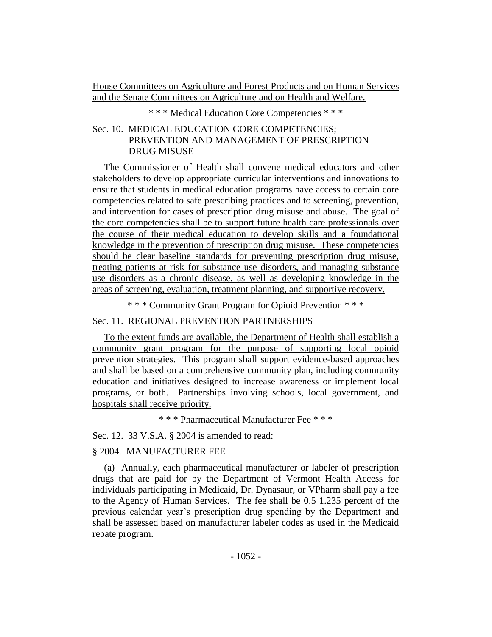House Committees on Agriculture and Forest Products and on Human Services and the Senate Committees on Agriculture and on Health and Welfare.

\* \* \* Medical Education Core Competencies \* \* \*

# Sec. 10. MEDICAL EDUCATION CORE COMPETENCIES; PREVENTION AND MANAGEMENT OF PRESCRIPTION DRUG MISUSE

The Commissioner of Health shall convene medical educators and other stakeholders to develop appropriate curricular interventions and innovations to ensure that students in medical education programs have access to certain core competencies related to safe prescribing practices and to screening, prevention, and intervention for cases of prescription drug misuse and abuse. The goal of the core competencies shall be to support future health care professionals over the course of their medical education to develop skills and a foundational knowledge in the prevention of prescription drug misuse. These competencies should be clear baseline standards for preventing prescription drug misuse, treating patients at risk for substance use disorders, and managing substance use disorders as a chronic disease, as well as developing knowledge in the areas of screening, evaluation, treatment planning, and supportive recovery.

\* \* \* Community Grant Program for Opioid Prevention \* \* \*

## Sec. 11. REGIONAL PREVENTION PARTNERSHIPS

To the extent funds are available, the Department of Health shall establish a community grant program for the purpose of supporting local opioid prevention strategies. This program shall support evidence-based approaches and shall be based on a comprehensive community plan, including community education and initiatives designed to increase awareness or implement local programs, or both. Partnerships involving schools, local government, and hospitals shall receive priority.

\* \* \* Pharmaceutical Manufacturer Fee \* \* \*

Sec. 12. 33 V.S.A. § 2004 is amended to read:

## § 2004. MANUFACTURER FEE

(a) Annually, each pharmaceutical manufacturer or labeler of prescription drugs that are paid for by the Department of Vermont Health Access for individuals participating in Medicaid, Dr. Dynasaur, or VPharm shall pay a fee to the Agency of Human Services. The fee shall be  $0.5$  1.235 percent of the previous calendar year's prescription drug spending by the Department and shall be assessed based on manufacturer labeler codes as used in the Medicaid rebate program.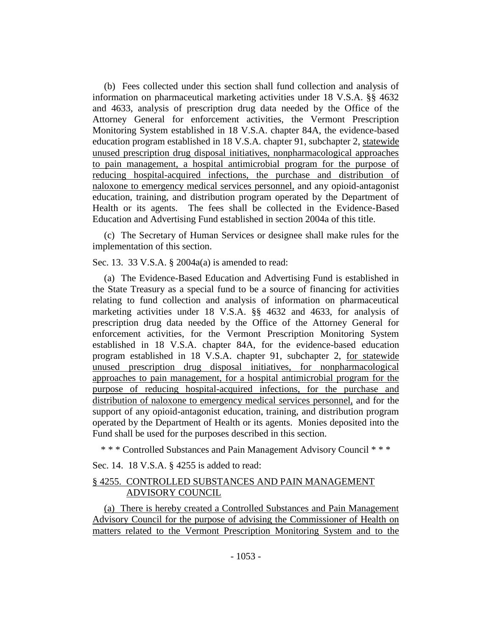(b) Fees collected under this section shall fund collection and analysis of information on pharmaceutical marketing activities under 18 V.S.A. §§ 4632 and 4633, analysis of prescription drug data needed by the Office of the Attorney General for enforcement activities, the Vermont Prescription Monitoring System established in 18 V.S.A. chapter 84A, the evidence-based education program established in 18 V.S.A. chapter 91, subchapter 2, statewide unused prescription drug disposal initiatives, nonpharmacological approaches to pain management, a hospital antimicrobial program for the purpose of reducing hospital-acquired infections, the purchase and distribution of naloxone to emergency medical services personnel, and any opioid-antagonist education, training, and distribution program operated by the Department of Health or its agents. The fees shall be collected in the Evidence-Based Education and Advertising Fund established in section 2004a of this title.

(c) The Secretary of Human Services or designee shall make rules for the implementation of this section.

Sec. 13. 33 V.S.A. § 2004a(a) is amended to read:

(a) The Evidence-Based Education and Advertising Fund is established in the State Treasury as a special fund to be a source of financing for activities relating to fund collection and analysis of information on pharmaceutical marketing activities under 18 V.S.A. §§ 4632 and 4633, for analysis of prescription drug data needed by the Office of the Attorney General for enforcement activities, for the Vermont Prescription Monitoring System established in 18 V.S.A. chapter 84A, for the evidence-based education program established in 18 V.S.A. chapter 91, subchapter 2, for statewide unused prescription drug disposal initiatives, for nonpharmacological approaches to pain management, for a hospital antimicrobial program for the purpose of reducing hospital-acquired infections, for the purchase and distribution of naloxone to emergency medical services personnel, and for the support of any opioid-antagonist education, training, and distribution program operated by the Department of Health or its agents. Monies deposited into the Fund shall be used for the purposes described in this section.

\* \* \* Controlled Substances and Pain Management Advisory Council \* \* \*

Sec. 14. 18 V.S.A. § 4255 is added to read:

## § 4255. CONTROLLED SUBSTANCES AND PAIN MANAGEMENT ADVISORY COUNCIL

(a) There is hereby created a Controlled Substances and Pain Management Advisory Council for the purpose of advising the Commissioner of Health on matters related to the Vermont Prescription Monitoring System and to the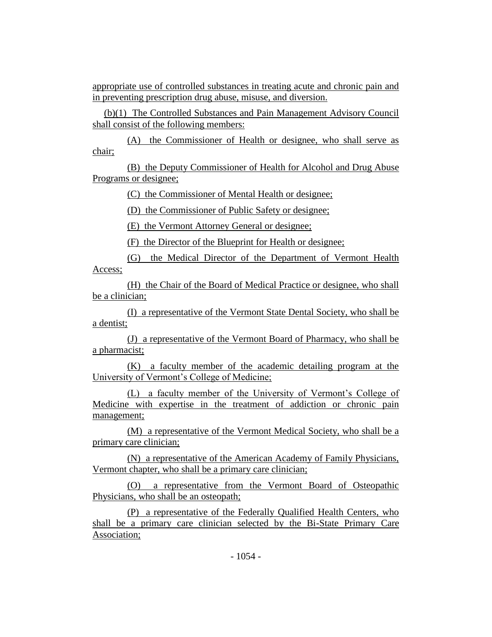appropriate use of controlled substances in treating acute and chronic pain and in preventing prescription drug abuse, misuse, and diversion.

(b)(1) The Controlled Substances and Pain Management Advisory Council shall consist of the following members:

(A) the Commissioner of Health or designee, who shall serve as chair;

(B) the Deputy Commissioner of Health for Alcohol and Drug Abuse Programs or designee;

(C) the Commissioner of Mental Health or designee;

(D) the Commissioner of Public Safety or designee;

(E) the Vermont Attorney General or designee;

(F) the Director of the Blueprint for Health or designee;

(G) the Medical Director of the Department of Vermont Health Access;

(H) the Chair of the Board of Medical Practice or designee, who shall be a clinician;

(I) a representative of the Vermont State Dental Society, who shall be a dentist;

(J) a representative of the Vermont Board of Pharmacy, who shall be a pharmacist;

(K) a faculty member of the academic detailing program at the University of Vermont's College of Medicine;

(L) a faculty member of the University of Vermont's College of Medicine with expertise in the treatment of addiction or chronic pain management;

(M) a representative of the Vermont Medical Society, who shall be a primary care clinician;

(N) a representative of the American Academy of Family Physicians, Vermont chapter, who shall be a primary care clinician;

(O) a representative from the Vermont Board of Osteopathic Physicians, who shall be an osteopath;

(P) a representative of the Federally Qualified Health Centers, who shall be a primary care clinician selected by the Bi-State Primary Care Association;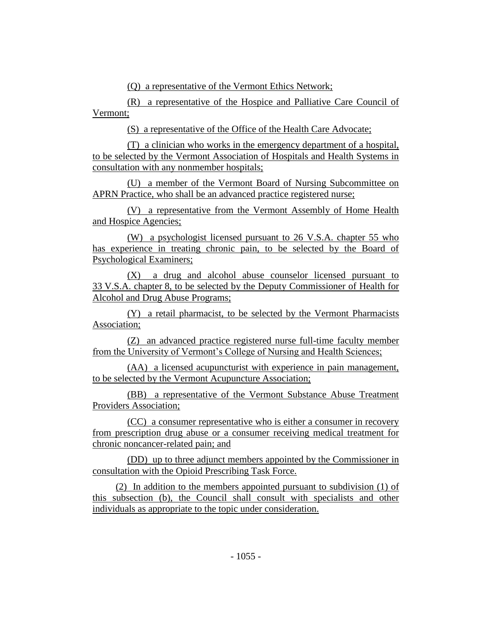(Q) a representative of the Vermont Ethics Network;

(R) a representative of the Hospice and Palliative Care Council of Vermont;

(S) a representative of the Office of the Health Care Advocate;

(T) a clinician who works in the emergency department of a hospital, to be selected by the Vermont Association of Hospitals and Health Systems in consultation with any nonmember hospitals;

(U) a member of the Vermont Board of Nursing Subcommittee on APRN Practice, who shall be an advanced practice registered nurse;

(V) a representative from the Vermont Assembly of Home Health and Hospice Agencies;

(W) a psychologist licensed pursuant to 26 V.S.A. chapter 55 who has experience in treating chronic pain, to be selected by the Board of Psychological Examiners;

(X) a drug and alcohol abuse counselor licensed pursuant to 33 V.S.A. chapter 8, to be selected by the Deputy Commissioner of Health for Alcohol and Drug Abuse Programs;

(Y) a retail pharmacist, to be selected by the Vermont Pharmacists Association;

(Z) an advanced practice registered nurse full-time faculty member from the University of Vermont's College of Nursing and Health Sciences;

(AA) a licensed acupuncturist with experience in pain management, to be selected by the Vermont Acupuncture Association;

(BB) a representative of the Vermont Substance Abuse Treatment Providers Association;

(CC) a consumer representative who is either a consumer in recovery from prescription drug abuse or a consumer receiving medical treatment for chronic noncancer-related pain; and

(DD) up to three adjunct members appointed by the Commissioner in consultation with the Opioid Prescribing Task Force.

(2) In addition to the members appointed pursuant to subdivision (1) of this subsection (b), the Council shall consult with specialists and other individuals as appropriate to the topic under consideration.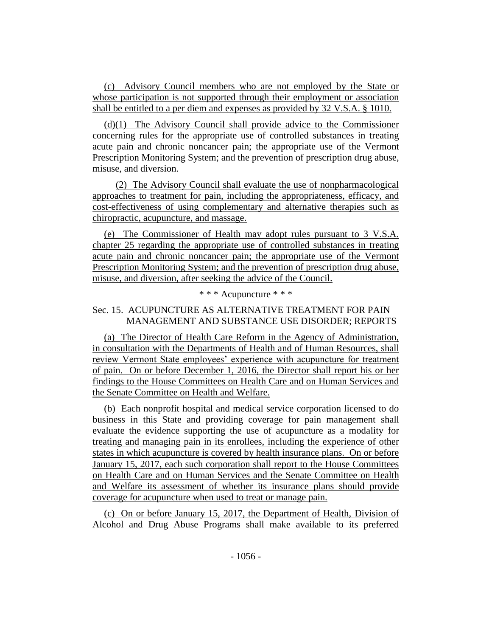(c) Advisory Council members who are not employed by the State or whose participation is not supported through their employment or association shall be entitled to a per diem and expenses as provided by 32 V.S.A. § 1010.

(d)(1) The Advisory Council shall provide advice to the Commissioner concerning rules for the appropriate use of controlled substances in treating acute pain and chronic noncancer pain; the appropriate use of the Vermont Prescription Monitoring System; and the prevention of prescription drug abuse, misuse, and diversion.

(2) The Advisory Council shall evaluate the use of nonpharmacological approaches to treatment for pain, including the appropriateness, efficacy, and cost-effectiveness of using complementary and alternative therapies such as chiropractic, acupuncture, and massage.

(e) The Commissioner of Health may adopt rules pursuant to 3 V.S.A. chapter 25 regarding the appropriate use of controlled substances in treating acute pain and chronic noncancer pain; the appropriate use of the Vermont Prescription Monitoring System; and the prevention of prescription drug abuse, misuse, and diversion, after seeking the advice of the Council.

# \* \* \* Acupuncture \* \* \*

# Sec. 15.ACUPUNCTURE AS ALTERNATIVE TREATMENT FOR PAIN MANAGEMENT AND SUBSTANCE USE DISORDER; REPORTS

(a) The Director of Health Care Reform in the Agency of Administration, in consultation with the Departments of Health and of Human Resources, shall review Vermont State employees' experience with acupuncture for treatment of pain. On or before December 1, 2016, the Director shall report his or her findings to the House Committees on Health Care and on Human Services and the Senate Committee on Health and Welfare.

(b) Each nonprofit hospital and medical service corporation licensed to do business in this State and providing coverage for pain management shall evaluate the evidence supporting the use of acupuncture as a modality for treating and managing pain in its enrollees, including the experience of other states in which acupuncture is covered by health insurance plans. On or before January 15, 2017, each such corporation shall report to the House Committees on Health Care and on Human Services and the Senate Committee on Health and Welfare its assessment of whether its insurance plans should provide coverage for acupuncture when used to treat or manage pain.

(c) On or before January 15, 2017, the Department of Health, Division of Alcohol and Drug Abuse Programs shall make available to its preferred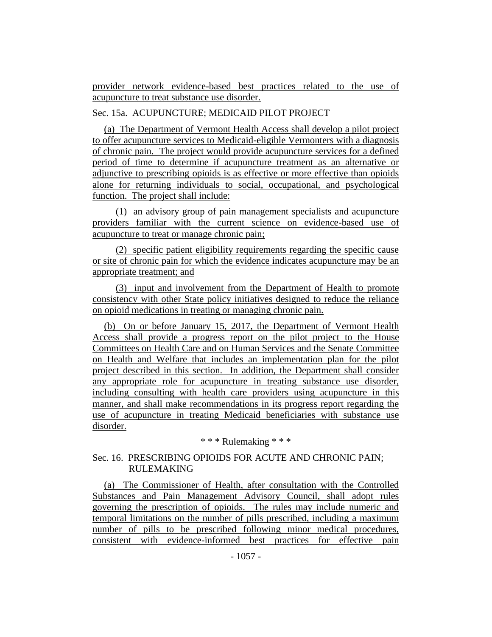provider network evidence-based best practices related to the use of acupuncture to treat substance use disorder.

# Sec. 15a. ACUPUNCTURE; MEDICAID PILOT PROJECT

(a) The Department of Vermont Health Access shall develop a pilot project to offer acupuncture services to Medicaid-eligible Vermonters with a diagnosis of chronic pain. The project would provide acupuncture services for a defined period of time to determine if acupuncture treatment as an alternative or adjunctive to prescribing opioids is as effective or more effective than opioids alone for returning individuals to social, occupational, and psychological function. The project shall include:

(1) an advisory group of pain management specialists and acupuncture providers familiar with the current science on evidence-based use of acupuncture to treat or manage chronic pain;

(2) specific patient eligibility requirements regarding the specific cause or site of chronic pain for which the evidence indicates acupuncture may be an appropriate treatment; and

(3) input and involvement from the Department of Health to promote consistency with other State policy initiatives designed to reduce the reliance on opioid medications in treating or managing chronic pain.

(b) On or before January 15, 2017, the Department of Vermont Health Access shall provide a progress report on the pilot project to the House Committees on Health Care and on Human Services and the Senate Committee on Health and Welfare that includes an implementation plan for the pilot project described in this section. In addition, the Department shall consider any appropriate role for acupuncture in treating substance use disorder, including consulting with health care providers using acupuncture in this manner, and shall make recommendations in its progress report regarding the use of acupuncture in treating Medicaid beneficiaries with substance use disorder.

\* \* \* Rulemaking \* \* \*

# Sec. 16. PRESCRIBING OPIOIDS FOR ACUTE AND CHRONIC PAIN; RULEMAKING

(a) The Commissioner of Health, after consultation with the Controlled Substances and Pain Management Advisory Council, shall adopt rules governing the prescription of opioids. The rules may include numeric and temporal limitations on the number of pills prescribed, including a maximum number of pills to be prescribed following minor medical procedures, consistent with evidence-informed best practices for effective pain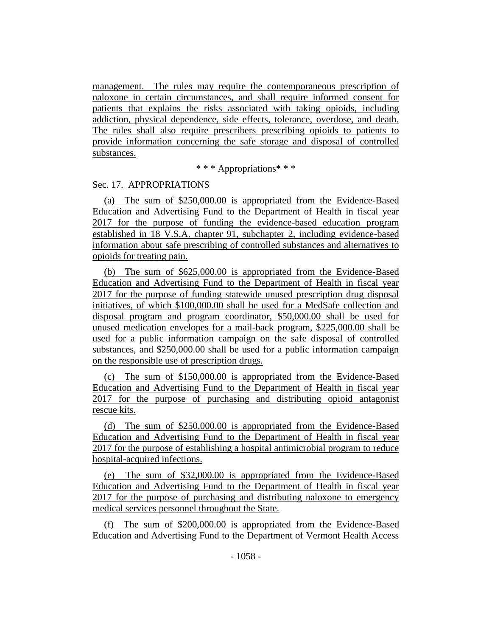management. The rules may require the contemporaneous prescription of naloxone in certain circumstances, and shall require informed consent for patients that explains the risks associated with taking opioids, including addiction, physical dependence, side effects, tolerance, overdose, and death. The rules shall also require prescribers prescribing opioids to patients to provide information concerning the safe storage and disposal of controlled substances.

\* \* \* Appropriations\* \* \*

## Sec. 17. APPROPRIATIONS

(a) The sum of \$250,000.00 is appropriated from the Evidence-Based Education and Advertising Fund to the Department of Health in fiscal year 2017 for the purpose of funding the evidence-based education program established in 18 V.S.A. chapter 91, subchapter 2, including evidence-based information about safe prescribing of controlled substances and alternatives to opioids for treating pain.

(b) The sum of \$625,000.00 is appropriated from the Evidence-Based Education and Advertising Fund to the Department of Health in fiscal year 2017 for the purpose of funding statewide unused prescription drug disposal initiatives, of which \$100,000.00 shall be used for a MedSafe collection and disposal program and program coordinator, \$50,000.00 shall be used for unused medication envelopes for a mail-back program, \$225,000.00 shall be used for a public information campaign on the safe disposal of controlled substances, and \$250,000.00 shall be used for a public information campaign on the responsible use of prescription drugs.

(c) The sum of \$150,000.00 is appropriated from the Evidence-Based Education and Advertising Fund to the Department of Health in fiscal year 2017 for the purpose of purchasing and distributing opioid antagonist rescue kits.

(d) The sum of \$250,000.00 is appropriated from the Evidence-Based Education and Advertising Fund to the Department of Health in fiscal year 2017 for the purpose of establishing a hospital antimicrobial program to reduce hospital-acquired infections.

(e) The sum of \$32,000.00 is appropriated from the Evidence-Based Education and Advertising Fund to the Department of Health in fiscal year 2017 for the purpose of purchasing and distributing naloxone to emergency medical services personnel throughout the State.

(f) The sum of \$200,000.00 is appropriated from the Evidence-Based Education and Advertising Fund to the Department of Vermont Health Access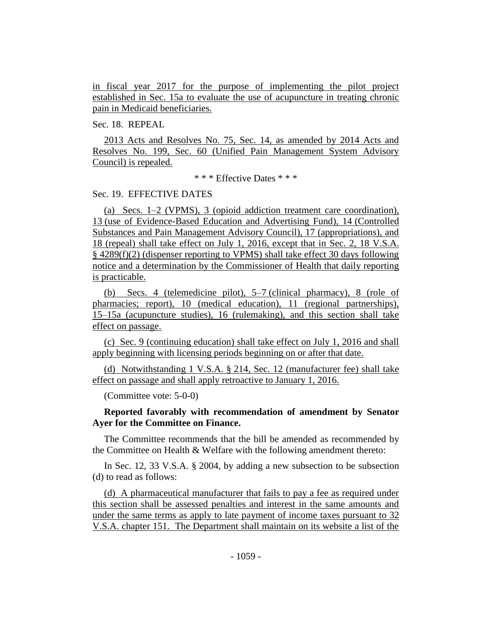in fiscal year 2017 for the purpose of implementing the pilot project established in Sec. 15a to evaluate the use of acupuncture in treating chronic pain in Medicaid beneficiaries.

## Sec. 18. REPEAL

2013 Acts and Resolves No. 75, Sec. 14, as amended by 2014 Acts and Resolves No. 199, Sec. 60 (Unified Pain Management System Advisory Council) is repealed.

\* \* \* Effective Dates \* \* \*

#### Sec. 19. EFFECTIVE DATES

(a) Secs. 1–2 (VPMS), 3 (opioid addiction treatment care coordination), 13 (use of Evidence-Based Education and Advertising Fund), 14 (Controlled Substances and Pain Management Advisory Council), 17 (appropriations), and 18 (repeal) shall take effect on July 1, 2016, except that in Sec. 2, 18 V.S.A. § 4289(f)(2) (dispenser reporting to VPMS) shall take effect 30 days following notice and a determination by the Commissioner of Health that daily reporting is practicable.

(b) Secs. 4 (telemedicine pilot), 5–7 (clinical pharmacy), 8 (role of pharmacies; report), 10 (medical education), 11 (regional partnerships), 15–15a (acupuncture studies), 16 (rulemaking), and this section shall take effect on passage.

(c) Sec. 9 (continuing education) shall take effect on July 1, 2016 and shall apply beginning with licensing periods beginning on or after that date.

(d) Notwithstanding 1 V.S.A. § 214, Sec. 12 (manufacturer fee) shall take effect on passage and shall apply retroactive to January 1, 2016.

(Committee vote: 5-0-0)

## **Reported favorably with recommendation of amendment by Senator Ayer for the Committee on Finance.**

The Committee recommends that the bill be amended as recommended by the Committee on Health & Welfare with the following amendment thereto:

In Sec. 12, 33 V.S.A. § 2004, by adding a new subsection to be subsection (d) to read as follows:

(d) A pharmaceutical manufacturer that fails to pay a fee as required under this section shall be assessed penalties and interest in the same amounts and under the same terms as apply to late payment of income taxes pursuant to 32 V.S.A. chapter 151. The Department shall maintain on its website a list of the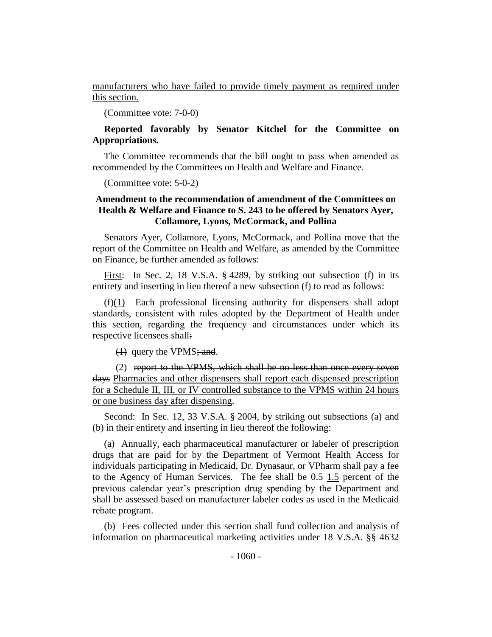manufacturers who have failed to provide timely payment as required under this section.

(Committee vote: 7-0-0)

## **Reported favorably by Senator Kitchel for the Committee on Appropriations.**

The Committee recommends that the bill ought to pass when amended as recommended by the Committees on Health and Welfare and Finance.

(Committee vote: 5-0-2)

## **Amendment to the recommendation of amendment of the Committees on Health & Welfare and Finance to S. 243 to be offered by Senators Ayer, Collamore, Lyons, McCormack, and Pollina**

Senators Ayer, Collamore, Lyons, McCormack, and Pollina move that the report of the Committee on Health and Welfare, as amended by the Committee on Finance, be further amended as follows:

First: In Sec. 2, 18 V.S.A. § 4289, by striking out subsection (f) in its entirety and inserting in lieu thereof a new subsection (f) to read as follows:

(f)(1) Each professional licensing authority for dispensers shall adopt standards, consistent with rules adopted by the Department of Health under this section, regarding the frequency and circumstances under which its respective licensees shall:

(1) query the VPMS; and.

(2) report to the VPMS, which shall be no less than once every seven days Pharmacies and other dispensers shall report each dispensed prescription for a Schedule II, III, or IV controlled substance to the VPMS within 24 hours or one business day after dispensing.

Second: In Sec. 12, 33 V.S.A. § 2004, by striking out subsections (a) and (b) in their entirety and inserting in lieu thereof the following:

(a) Annually, each pharmaceutical manufacturer or labeler of prescription drugs that are paid for by the Department of Vermont Health Access for individuals participating in Medicaid, Dr. Dynasaur, or VPharm shall pay a fee to the Agency of Human Services. The fee shall be  $0.5$  1.5 percent of the previous calendar year's prescription drug spending by the Department and shall be assessed based on manufacturer labeler codes as used in the Medicaid rebate program.

(b) Fees collected under this section shall fund collection and analysis of information on pharmaceutical marketing activities under 18 V.S.A. §§ 4632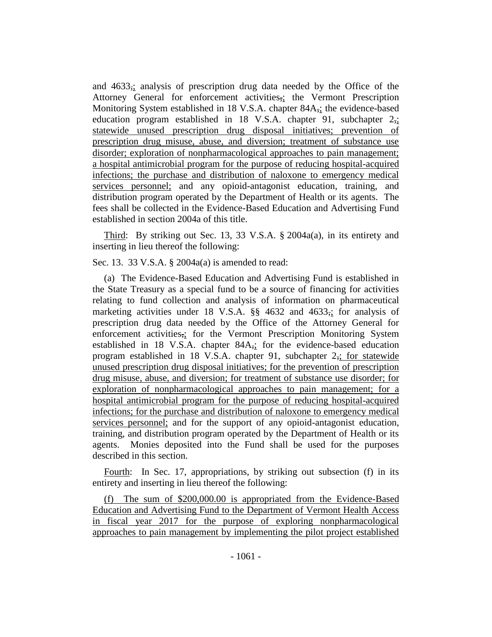and  $4633$ ; analysis of prescription drug data needed by the Office of the Attorney General for enforcement activities,; the Vermont Prescription Monitoring System established in 18 V.S.A. chapter 84A<sub>7</sub>; the evidence-based education program established in 18 V.S.A. chapter 91, subchapter 2,; statewide unused prescription drug disposal initiatives; prevention of prescription drug misuse, abuse, and diversion; treatment of substance use disorder; exploration of nonpharmacological approaches to pain management; a hospital antimicrobial program for the purpose of reducing hospital-acquired infections; the purchase and distribution of naloxone to emergency medical services personnel; and any opioid-antagonist education, training, and distribution program operated by the Department of Health or its agents. The fees shall be collected in the Evidence-Based Education and Advertising Fund established in section 2004a of this title.

Third: By striking out Sec. 13, 33 V.S.A. § 2004a(a), in its entirety and inserting in lieu thereof the following:

Sec. 13. 33 V.S.A. § 2004a(a) is amended to read:

(a) The Evidence-Based Education and Advertising Fund is established in the State Treasury as a special fund to be a source of financing for activities relating to fund collection and analysis of information on pharmaceutical marketing activities under 18 V.S.A. §§ 4632 and 4633,; for analysis of prescription drug data needed by the Office of the Attorney General for enforcement activities,; for the Vermont Prescription Monitoring System established in 18 V.S.A. chapter 84A,; for the evidence-based education program established in 18 V.S.A. chapter 91, subchapter 2,; for statewide unused prescription drug disposal initiatives; for the prevention of prescription drug misuse, abuse, and diversion; for treatment of substance use disorder; for exploration of nonpharmacological approaches to pain management; for a hospital antimicrobial program for the purpose of reducing hospital-acquired infections; for the purchase and distribution of naloxone to emergency medical services personnel; and for the support of any opioid-antagonist education, training, and distribution program operated by the Department of Health or its agents. Monies deposited into the Fund shall be used for the purposes described in this section.

Fourth: In Sec. 17, appropriations, by striking out subsection (f) in its entirety and inserting in lieu thereof the following:

(f) The sum of \$200,000.00 is appropriated from the Evidence-Based Education and Advertising Fund to the Department of Vermont Health Access in fiscal year 2017 for the purpose of exploring nonpharmacological approaches to pain management by implementing the pilot project established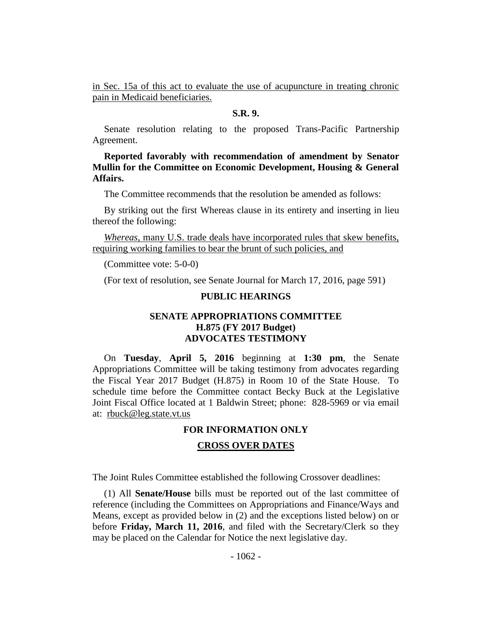in Sec. 15a of this act to evaluate the use of acupuncture in treating chronic pain in Medicaid beneficiaries.

#### **S.R. 9.**

Senate resolution relating to the proposed Trans-Pacific Partnership Agreement.

**Reported favorably with recommendation of amendment by Senator Mullin for the Committee on Economic Development, Housing & General Affairs.**

The Committee recommends that the resolution be amended as follows:

By striking out the first Whereas clause in its entirety and inserting in lieu thereof the following:

*Whereas*, many U.S. trade deals have incorporated rules that skew benefits, requiring working families to bear the brunt of such policies, and

(Committee vote: 5-0-0)

(For text of resolution, see Senate Journal for March 17, 2016, page 591)

## **PUBLIC HEARINGS**

## **SENATE APPROPRIATIONS COMMITTEE H.875 (FY 2017 Budget) ADVOCATES TESTIMONY**

On **Tuesday**, **April 5, 2016** beginning at **1:30 pm**, the Senate Appropriations Committee will be taking testimony from advocates regarding the Fiscal Year 2017 Budget (H.875) in Room 10 of the State House. To schedule time before the Committee contact Becky Buck at the Legislative Joint Fiscal Office located at 1 Baldwin Street; phone: 828-5969 or via email at: rbuck@leg.state.vt.us

#### **FOR INFORMATION ONLY**

#### **CROSS OVER DATES**

The Joint Rules Committee established the following Crossover deadlines:

(1) All **Senate/House** bills must be reported out of the last committee of reference (including the Committees on Appropriations and Finance/Ways and Means, except as provided below in (2) and the exceptions listed below) on or before **Friday, March 11, 2016**, and filed with the Secretary/Clerk so they may be placed on the Calendar for Notice the next legislative day.